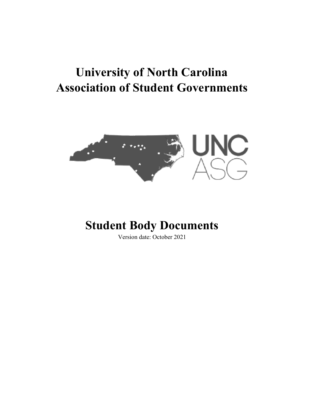# **University of North Carolina Association of Student Governments**



# **Student Body Documents**

Version date: October 2021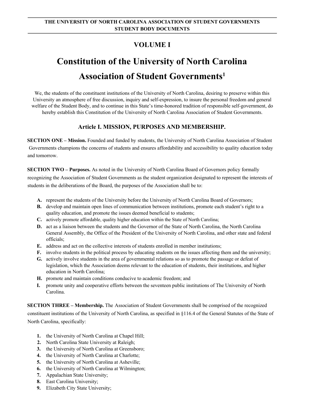# **VOLUME I**

# **Constitution of the University of North Carolina Association of Student Governments1**

We, the students of the constituent institutions of the University of North Carolina, desiring to preserve within this University an atmosphere of free discussion, inquiry and self-expression, to insure the personal freedom and general welfare of the Student Body, and to continue in this State's time-honored tradition of responsible self-government, do hereby establish this Constitution of the University of North Carolina Association of Student Governments.

# **Article I. MISSION, PURPOSES AND MEMBERSHIP.**

**SECTION ONE – Mission.** Founded and funded by students, the University of North Carolina Association of Student Governments champions the concerns of students and ensures affordability and accessibility to quality education today and tomorrow.

**SECTION TWO – Purposes.** As noted in the University of North Carolina Board of Governors policy formally recognizing the Association of Student Governments as the student organization designated to represent the interests of students in the deliberations of the Board, the purposes of the Association shall be to:

- **A.** represent the students of the University before the University of North Carolina Board of Governors;
- **B.** develop and maintain open lines of communication between institutions, promote each student's right to a quality education, and promote the issues deemed beneficial to students;
- **C.** actively promote affordable, quality higher education within the State of North Carolina;
- **D.** act as a liaison between the students and the Governor of the State of North Carolina, the North Carolina General Assembly, the Office of the President of the University of North Carolina, and other state and federal officials;
- **E.** address and act on the collective interests of students enrolled in member institutions;
- **F.** involve students in the political process by educating students on the issues affecting them and the university;
- **G.** actively involve students in the area of governmental relations so as to promote the passage or defeat of legislation, which the Association deems relevant to the education of students, their institutions, and higher education in North Carolina;
- **H.** promote and maintain conditions conducive to academic freedom; and
- **I.** promote unity and cooperative efforts between the seventeen public institutions of The University of North Carolina.

**SECTION THREE – Membership.** The Association of Student Governments shall be comprised of the recognized constituent institutions of the University of North Carolina, as specified in §116.4 of the General Statutes of the State of North Carolina, specifically:

- **1.** the University of North Carolina at Chapel Hill;
- **2.** North Carolina State University at Raleigh;
- **3.** the University of North Carolina at Greensboro;
- **4.** the University of North Carolina at Charlotte;
- **5.** the University of North Carolina at Asheville;
- **6.** the University of North Carolina at Wilmington;
- **7.** Appalachian State University;
- **8.** East Carolina University;
- **9.** Elizabeth City State University;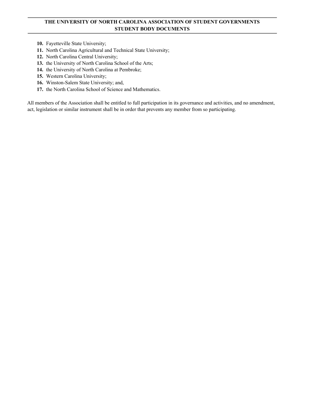- **10.** Fayetteville State University;
- **11.** North Carolina Agricultural and Technical State University;
- **12.** North Carolina Central University;
- **13.** the University of North Carolina School of the Arts;
- **14.** the University of North Carolina at Pembroke;
- **15.** Western Carolina University;
- **16.** Winston-Salem State University; and,
- **17.** the North Carolina School of Science and Mathematics.

All members of the Association shall be entitled to full participation in its governance and activities, and no amendment, act, legislation or similar instrument shall be in order that prevents any member from so participating.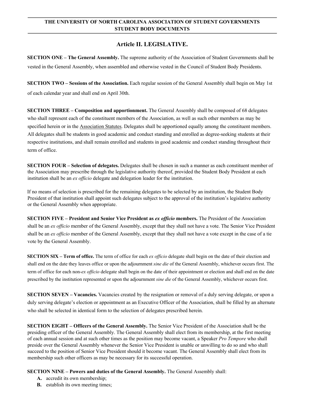#### **Article II. LEGISLATIVE.**

**SECTION ONE – The General Assembly.** The supreme authority of the Association of Student Governments shall be vested in the General Assembly, when assembled and otherwise vested in the Council of Student Body Presidents.

**SECTION TWO – Sessions of the Association.** Each regular session of the General Assembly shall begin on May 1st of each calendar year and shall end on April 30th.

**SECTION THREE – Composition and apportionment.** The General Assembly shall be composed of 68 delegates who shall represent each of the constituent members of the Association, as well as such other members as may be specified herein or in the Association Statutes. Delegates shall be apportioned equally among the constituent members. All delegates shall be students in good academic and conduct standing and enrolled as degree-seeking students at their respective institutions, and shall remain enrolled and students in good academic and conduct standing throughout their term of office.

**SECTION FOUR – Selection of delegates.** Delegates shall be chosen in such a manner as each constituent member of the Association may prescribe through the legislative authority thereof, provided the Student Body President at each institution shall be an *ex officio* delegate and delegation leader for the institution.

If no means of selection is prescribed for the remaining delegates to be selected by an institution, the Student Body President of that institution shall appoint such delegates subject to the approval of the institution's legislative authority or the General Assembly when appropriate.

**SECTION FIVE – President and Senior Vice President as** *ex officio* **members.** The President of the Association shall be an *ex officio* member of the General Assembly, except that they shall not have a vote. The Senior Vice President shall be an *ex officio* member of the General Assembly, except that they shall not have a vote except in the case of a tie vote by the General Assembly.

**SECTION SIX – Term of office.** The term of office for each *ex officio* delegate shall begin on the date of their election and shall end on the date they leaves office or upon the adjournment *sine die* of the General Assembly, whichever occurs first. The term of office for each non-*ex officio* delegate shall begin on the date of their appointment or election and shall end on the date prescribed by the institution represented or upon the adjournment *sine die* of the General Assembly, whichever occurs first.

**SECTION SEVEN – Vacancies.** Vacancies created by the resignation or removal of a duly serving delegate, or upon a duly serving delegate's election or appointment as an Executive Officer of the Association, shall be filled by an alternate who shall be selected in identical form to the selection of delegates prescribed herein.

**SECTION EIGHT – Officers of the General Assembly.** The Senior Vice President of the Association shall be the presiding officer of the General Assembly. The General Assembly shall elect from its membership, at the first meeting of each annual session and at such other times as the position may become vacant, a Speaker *Pro Tempore* who shall preside over the General Assembly whenever the Senior Vice President is unable or unwilling to do so and who shall succeed to the position of Senior Vice President should it become vacant. The General Assembly shall elect from its membership such other officers as may be necessary for its successful operation.

#### **SECTION NINE – Powers and duties of the General Assembly.** The General Assembly shall:

- **A.** accredit its own membership;
- **B.** establish its own meeting times;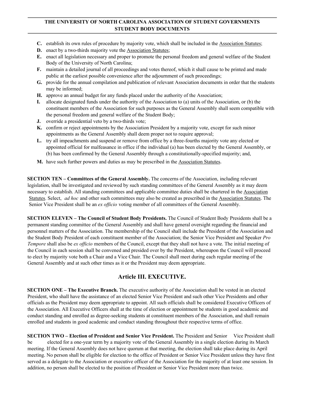- **C.** establish its own rules of procedure by majority vote, which shall be included in the Association Statutes;
- **D.** enact by a two-thirds majority vote the Association Statutes;
- **E.** enact all legislation necessary and proper to promote the personal freedom and general welfare of the Student Body of the University of North Carolina;
- **F.** maintain a detailed journal of all proceedings and votes thereof, which it shall cause to be printed and made public at the earliest possible convenience after the adjournment of such proceedings;
- **G.** provide for the annual compilation and publication of relevant Association documents in order that the students may be informed;
- **H.** approve an annual budget for any funds placed under the authority of the Association;
- **I.** allocate designated funds under the authority of the Association to (a) units of the Association, or (b) the constituent members of the Association for such purposes as the General Assembly shall seem compatible with the personal freedom and general welfare of the Student Body;
- **J.** override a presidential veto by a two-thirds vote;
- **K.** confirm or reject appointments by the Association President by a majority vote, except for such minor appointments as the General Assembly shall deem proper not to require approval;
- **L.** try all impeachments and suspend or remove from office by a three-fourths majority vote any elected or appointed official for malfeasance in office if the individual (a) has been elected by the General Assembly, or (b) has been confirmed by the General Assembly through a constitutionally-specified majority; and,
- **M.** have such further powers and duties as may be prescribed in the Association Statutes.

**SECTION TEN – Committees of the General Assembly.** The concerns of the Association, including relevant legislation, shall be investigated and reviewed by such standing committees of the General Assembly as it may deem necessary to establish. All standing committees and applicable committee duties shall be chartered in the Association Statutes. Select, *ad hoc* and other such committees may also be created as prescribed in the Association Statutes. The Senior Vice President shall be an *ex officio* voting member of all committees of the General Assembly.

**SECTION ELEVEN – The Council of Student Body Presidents.** The Council of Student Body Presidents shall be a permanent standing committee of the General Assembly and shall have general oversight regarding the financial and personnel matters of the Association. The membership of the Council shall include the President of the Association and the Student Body President of each constituent member of the Association; the Senior Vice President and Speaker *Pro Tempore* shall also be *ex officio* members of the Council, except that they shall not have a vote. The initial meeting of the Council in each session shall be convened and presided over by the President, whereupon the Council will proceed to elect by majority vote both a Chair and a Vice Chair. The Council shall meet during each regular meeting of the General Assembly and at such other times as it or the President may deem appropriate.

#### **Article III. EXECUTIVE.**

**SECTION ONE – The Executive Branch.** The executive authority of the Association shall be vested in an elected President, who shall have the assistance of an elected Senior Vice President and such other Vice Presidents and other officials as the President may deem appropriate to appoint. All such officials shall be considered Executive Officers of the Association. All Executive Officers shall at the time of election or appointment be students in good academic and conduct standing and enrolled as degree-seeking students at constituent members of the Association, and shall remain enrolled and students in good academic and conduct standing throughout their respective terms of office.

**SECTION TWO – Election of President and Senior Vice President.** The President and Senior Vice President shall be elected for a one-year term by a majority vote of the General Assembly in a single election during its March meeting. If the General Assembly does not have quorum at that meeting, the election shall take place during its April meeting. No person shall be eligible for election to the office of President or Senior Vice President unless they have first served as a delegate to the Association or executive officer of the Association for the majority of at least one session. In addition, no person shall be elected to the position of President or Senior Vice President more than twice.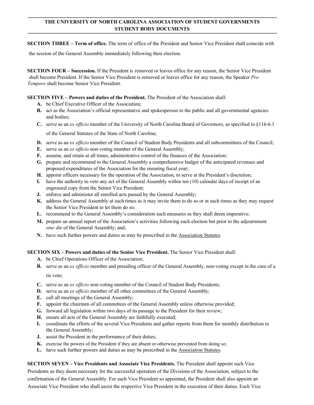**SECTION THREE – Term of office.** The term of office of the President and Senior Vice President shall coincide with

the session of the General Assembly immediately following their election.

**SECTION FOUR – Succession.** If the President is removed or leaves office for any reason, the Senior Vice President shall become President. If the Senior Vice President is removed or leaves office for any reason, the Speaker *Pro Tempore* shall become Senior Vice President.

#### **SECTION FIVE – Powers and duties of the President.** The President of the Association shall:

- **A.** be Chief Executive Officer of the Association;
- **B.** act as the Association's official representative and spokesperson to the public and all governmental agencies and bodies;
- **C.** serve as an *ex officio* member of the University of North Carolina Board of Governors, as specified in §116-6.1

of the General Statutes of the State of North Carolina;

- **D.** serve as an *ex officio* member of the Council of Student Body Presidents and all subcommittees of the Council;
- **E.** serve as an *ex officio* non-voting member of the General Assembly;
- **F.** assume, and retain at all times, administrative control of the finances of the Association;
- **G.** prepare and recommend to the General Assembly a comprehensive budget of the anticipated revenues and proposed expenditures of the Association for the ensuring fiscal year;
- **H.** appoint officers necessary for the operation of the Association, to serve at the President's discretion;
- **I.** have the authority to veto any act of the General Assembly within ten (10) calendar days of receipt of an engrossed copy from the Senior Vice President;
- **J.** enforce and administer all enrolled acts passed by the General Assembly;
- **K.** address the General Assembly at such times as it may invite them to do so or at such times as they may request the Senior Vice President to let them do so;
- **L.** recommend to the General Assembly's consideration such measures as they shall deem imperative;
- **M.** prepare an annual report of the Association's activities following each election but prior to the adjournment *sine die* of the General Assembly; and,
- **N.** have such further powers and duties as may be prescribed in the Association Statutes.

#### **SECTION SIX – Powers and duties of the Senior Vice President.** The Senior Vice President shall:

- **A.** be Chief Operations Officer of the Association;
- **B.** serve as an *ex officio* member and presiding officer of the General Assembly, non-voting except in the case of a tie vote;
- **C.** serve as an *ex officio* non-voting member of the Council of Student Body Presidents;
- **D.** serve as an *ex officio* member of all other committees of the General Assembly;
- **E.** call all meetings of the General Assembly;
- **F.** appoint the chairmen of all committees of the General Assembly unless otherwise provided;
- **G.** forward all legislation within two days of its passage to the President for their review;
- **H.** ensure all acts of the General Assembly are faithfully executed;
- **I.** coordinate the efforts of the several Vice Presidents and gather reports from them for monthly distribution to the General Assembly;
- **J.** assist the President in the performance of their duties;
- **K.** exercise the powers of the President if they are absent or otherwise prevented from doing so;
- L. have such further powers and duties as may be prescribed in the Association Statutes.

**SECTION SEVEN – Vice Presidents and Associate Vice Presidents.** The President shall appoint such Vice Presidents as they deem necessary for the successful operation of the Divisions of the Association, subject to the confirmation of the General Assembly. For each Vice President so appointed, the President shall also appoint an Associate Vice President who shall assist the respective Vice President in the execution of their duties. Each Vice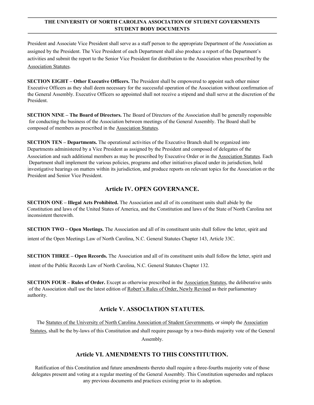President and Associate Vice President shall serve as a staff person to the appropriate Department of the Association as assigned by the President. The Vice President of each Department shall also produce a report of the Department's activities and submit the report to the Senior Vice President for distribution to the Association when prescribed by the Association Statutes.

**SECTION EIGHT – Other Executive Officers.** The President shall be empowered to appoint such other minor Executive Officers as they shall deem necessary for the successful operation of the Association without confirmation of the General Assembly. Executive Officers so appointed shall not receive a stipend and shall serve at the discretion of the President.

**SECTION NINE – The Board of Directors.** The Board of Directors of the Association shall be generally responsible for conducting the business of the Association between meetings of the General Assembly. The Board shall be composed of members as prescribed in the Association Statutes.

**SECTION TEN – Departments.** The operational activities of the Executive Branch shall be organized into Departments administered by a Vice President as assigned by the President and composed of delegates of the Association and such additional members as may be prescribed by Executive Order or in the Association Statutes. Each Department shall implement the various policies, programs and other initiatives placed under its jurisdiction, hold investigative hearings on matters within its jurisdiction, and produce reports on relevant topics for the Association or the President and Senior Vice President.

#### **Article IV. OPEN GOVERNANCE.**

**SECTION ONE – Illegal Acts Prohibited.** The Association and all of its constituent units shall abide by the Constitution and laws of the United States of America, and the Constitution and laws of the State of North Carolina not inconsistent therewith.

**SECTION TWO – Open Meetings.** The Association and all of its constituent units shall follow the letter, spirit and intent of the Open Meetings Law of North Carolina, N.C. General Statutes Chapter 143, Article 33C.

**SECTION THREE – Open Records.** The Association and all of its constituent units shall follow the letter, spirit and

intent of the Public Records Law of North Carolina, N.C. General Statutes Chapter 132.

**SECTION FOUR – Rules of Order.** Except as otherwise prescribed in the Association Statutes, the deliberative units of the Association shall use the latest edition of Robert's Rules of Order, Newly Revised as their parliamentary authority.

# **Article V. ASSOCIATION STATUTES.**

The Statutes of the University of North Carolina Association of Student Governments, or simply the Association Statutes, shall be the by-laws of this Constitution and shall require passage by a two-thirds majority vote of the General Assembly.

# **Article VI. AMENDMENTS TO THIS CONSTITUTION.**

Ratification of this Constitution and future amendments thereto shall require a three-fourths majority vote of those delegates present and voting at a regular meeting of the General Assembly. This Constitution supersedes and replaces any previous documents and practices existing prior to its adoption.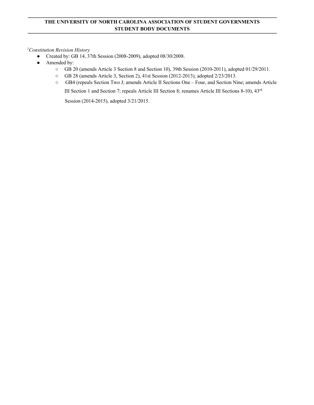#### *1 Constitution Revision History*

- Created by: GB 14, 37th Session (2008-2009), adopted 08/30/2008.
- Amended by:
	- GB 20 (amends Article 3 Section 8 and Section 10), 39th Session (2010-2011), adopted 01/29/2011.
	- GB 28 (amends Article 3, Section 2), 41st Session (2012-2013), adopted 2/23/2013.
	- GB4 (repeals Section Two J; amends Article II Sections One Four, and Section Nine; amends Article

III Section 1 and Section 7; repeals Article III Section 8; renames Article III Sections 8-10), 43rd

Session (2014-2015), adopted 3/21/2015.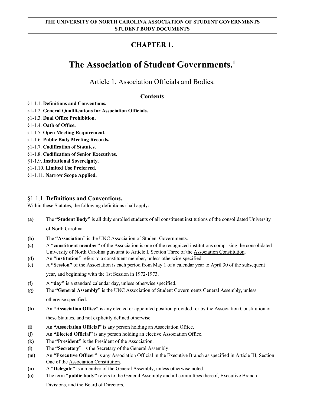# **CHAPTER 1.**

# **The Association of Student Governments.1**

Article 1. Association Officials and Bodies.

#### **Contents**

- §1-1.1. **Definitions and Conventions.**
- §1-1.2. **General Qualifications for Association Officials.**
- §1-1.3. **Dual Office Prohibition.**
- §1-1.4. **Oath of Office.**
- §1-1.5. **Open Meeting Requirement.**
- §1-1.6. **Public Body Meeting Records.**
- §1-1.7. **Codification of Statutes.**
- §1-1.8. **Codification of Senior Executives.**
- §1-1.9. **Institutional Sovereignty.**
- §1-1.10. **Limited Use Preferred.**
- §1-1.11. **Narrow Scope Applied.**

#### §1-1.1. **Definitions and Conventions.**

Within these Statutes, the following definitions shall apply:

**(a)** The **"Student Body"** is all duly enrolled students of all constituent institutions of the consolidated University of North Carolina.

- **(b)** The **"Association"** is the UNC Association of Student Governments.
- **(c)** A **"constituent member"** of the Association is one of the recognized institutions comprising the consolidated University of North Carolina pursuant to Article I, Section Three of the Association Constitution.
- **(d)** An **"institution"** refers to a constituent member, unless otherwise specified.
- **(e)** A **"Session"** of the Association is each period from May 1 of a calendar year to April 30 of the subsequent year, and beginning with the 1st Session in 1972-1973.
- **(f)** A **"day"** is a standard calendar day, unless otherwise specified.
- **(g)** The **"General Assembly"** is the UNC Association of Student Governments General Assembly, unless otherwise specified.
- **(h)** An **"Association Office"** is any elected or appointed position provided for by the Association Constitution or these Statutes, and not explicitly defined otherwise.
- **(i)** An **"Association Official"** is any person holding an Association Office.
- **(j)** An **"Elected Official"** is any person holding an elective Association Office.
- **(k)** The **"President"** is the President of the Association.
- **(l)** The **"Secretary"** is the Secretary of the General Assembly.
- **(m)** An **"Executive Officer"** is any Association Official in the Executive Branch as specified in Article III, Section One of the Association Constitution.
- **(n)** A **"Delegate"** is a member of the General Assembly, unless otherwise noted.
- **(o)** The term **"public body"** refers to the General Assembly and all committees thereof, Executive Branch

Divisions, and the Board of Directors.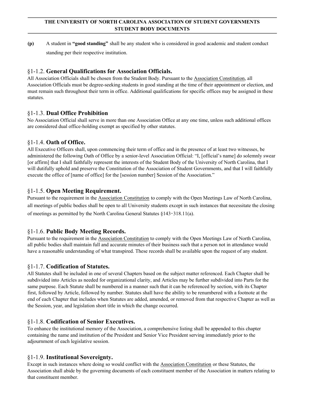**(p)** A student in **"good standing"** shall be any student who is considered in good academic and student conduct standing per their respective institution.

# §1-1.2. **General Qualifications for Association Officials.**

All Association Officials shall be chosen from the Student Body. Pursuant to the Association Constitution, all Association Officials must be degree-seeking students in good standing at the time of their appointment or election, and must remain such throughout their term in office. Additional qualifications for specific offices may be assigned in these statutes.

# §1-1.3. **Dual Office Prohibition**

No Association Official shall serve in more than one Association Office at any one time, unless such additional offices are considered dual office-holding exempt as specified by other statutes.

#### §1-1.4. **Oath of Office.**

All Executive Officers shall, upon commencing their term of office and in the presence of at least two witnesses, be administered the following Oath of Office by a senior-level Association Official: "I, [official's name] do solemnly swear [or affirm] that I shall faithfully represent the interests of the Student Body of the University of North Carolina, that I will dutifully uphold and preserve the Constitution of the Association of Student Governments, and that I will faithfully execute the office of [name of office] for the [session number] Session of the Association."

# §1-1.5. **Open Meeting Requirement.**

Pursuant to the requirement in the Association Constitution to comply with the Open Meetings Law of North Carolina, all meetings of public bodies shall be open to all University students except in such instances that necessitate the closing of meetings as permitted by the North Carolina General Statutes §143‑318.11(a).

#### §1-1.6. **Public Body Meeting Records.**

Pursuant to the requirement in the Association Constitution to comply with the Open Meetings Law of North Carolina, all public bodies shall maintain full and accurate minutes of their business such that a person not in attendance would have a reasonable understanding of what transpired. These records shall be available upon the request of any student.

#### §1-1.7. **Codification of Statutes.**

All Statutes shall be included in one of several Chapters based on the subject matter referenced. Each Chapter shall be subdivided into Articles as needed for organizational clarity, and Articles may be further subdivided into Parts for the same purpose. Each Statute shall be numbered in a manner such that it can be referenced by section, with its Chapter first, followed by Article, followed by number. Statutes shall have the ability to be renumbered with a footnote at the end of each Chapter that includes when Statutes are added, amended, or removed from that respective Chapter as well as the Session, year, and legislation short title in which the change occurred.

#### §1-1.8. **Codification of Senior Executives.**

To enhance the institutional memory of the Association, a comprehensive listing shall be appended to this chapter containing the name and institution of the President and Senior Vice President serving immediately prior to the adjournment of each legislative session.

#### §1-1.9. **Institutional Sovereignty.**

Except in such instances where doing so would conflict with the Association Constitution or these Statutes, the Association shall abide by the governing documents of each constituent member of the Association in matters relating to that constituent member.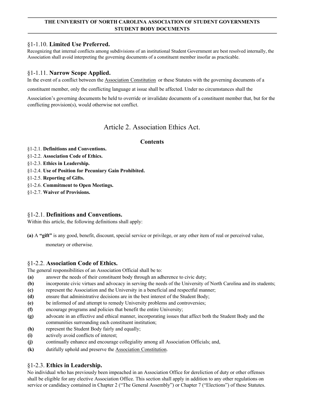#### §1-1.10. **Limited Use Preferred.**

Recognizing that internal conflicts among subdivisions of an institutional Student Government are best resolved internally, the Association shall avoid interpreting the governing documents of a constituent member insofar as practicable.

#### §1-1.11. **Narrow Scope Applied.**

In the event of a conflict between the Association Constitution or these Statutes with the governing documents of a

constituent member, only the conflicting language at issue shall be affected. Under no circumstances shall the

Association's governing documents be held to override or invalidate documents of a constituent member that, but for the conflicting provision(s), would otherwise not conflict.

# Article 2. Association Ethics Act.

#### **Contents**

- §1-2.1. **Definitions and Conventions***.*
- §1-2.2. **Association Code of Ethics.**
- §1-2.3. **Ethics in Leadership.**
- §1-2.4. **Use of Position for Pecuniary Gain Prohibited.**
- §1-2.5. **Reporting of Gifts.**
- §1-2.6. **Commitment to Open Meetings.**
- §1-2.7. **Waiver of Provisions.**

#### §1-2.1. **Definitions and Conventions.**

Within this article, the following definitions shall apply:

**(a)** A **"gift"** is any good, benefit, discount, special service or privilege, or any other item of real or perceived value,

monetary or otherwise.

#### §1-2.2. **Association Code of Ethics.**

The general responsibilities of an Association Official shall be to:

- **(a)** answer the needs of their constituent body through an adherence to civic duty;
- **(b)** incorporate civic virtues and advocacy in serving the needs of the University of North Carolina and its students;
- **(c)** represent the Association and the University in a beneficial and respectful manner;
- **(d)** ensure that administrative decisions are in the best interest of the Student Body;
- **(e)** be informed of and attempt to remedy University problems and controversies;
- **(f)** encourage programs and policies that benefit the entire University;
- **(g)** advocate in an effective and ethical manner, incorporating issues that affect both the Student Body and the communities surrounding each constituent institution;
- **(h)** represent the Student Body fairly and equally;
- **(i)** actively avoid conflicts of interest;
- **(j)** continually enhance and encourage collegiality among all Association Officials; and,
- **(k)** dutifully uphold and preserve the Association Constitution.

#### §1-2.3. **Ethics in Leadership.**

No individual who has previously been impeached in an Association Office for dereliction of duty or other offenses shall be eligible for any elective Association Office. This section shall apply in addition to any other regulations on service or candidacy contained in Chapter 2 ("The General Assembly") or Chapter 7 ("Elections") of these Statutes.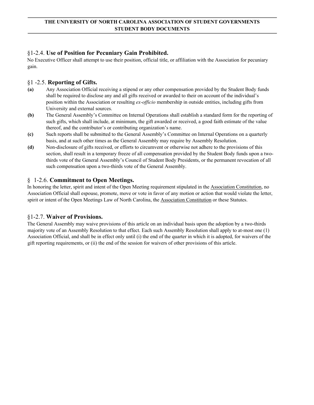# §1-2.4. **Use of Position for Pecuniary Gain Prohibited.**

No Executive Officer shall attempt to use their position, official title, or affiliation with the Association for pecuniary gain.

# §1 -2.5. **Reporting of Gifts.**

- **(a)** Any Association Official receiving a stipend or any other compensation provided by the Student Body funds shall be required to disclose any and all gifts received or awarded to their on account of the individual's position within the Association or resulting *ex-officio* membership in outside entities, including gifts from University and external sources.
- **(b)** The General Assembly's Committee on Internal Operations shall establish a standard form for the reporting of such gifts, which shall include, at minimum, the gift awarded or received, a good faith estimate of the value thereof, and the contributor's or contributing organization's name.
- **(c)** Such reports shall be submitted to the General Assembly's Committee on Internal Operations on a quarterly basis, and at such other times as the General Assembly may require by Assembly Resolution.
- **(d)** Non-disclosure of gifts received, or efforts to circumvent or otherwise not adhere to the provisions of this section, shall result in a temporary freeze of all compensation provided by the Student Body funds upon a twothirds vote of the General Assembly's Council of Student Body Presidents, or the permanent revocation of all such compensation upon a two-thirds vote of the General Assembly.

# § 1-2.6. **Commitment to Open Meetings.**

In honoring the letter, spirit and intent of the Open Meeting requirement stipulated in the Association Constitution, no Association Official shall espouse, promote, move or vote in favor of any motion or action that would violate the letter, spirit or intent of the Open Meetings Law of North Carolina, the Association Constitution or these Statutes.

#### §1-2.7. **Waiver of Provisions.**

The General Assembly may waive provisions of this article on an individual basis upon the adoption by a two-thirds majority vote of an Assembly Resolution to that effect. Each such Assembly Resolution shall apply to at-most one (1) Association Official, and shall be in effect only until (i) the end of the quarter in which it is adopted, for waivers of the gift reporting requirements, or (ii) the end of the session for waivers of other provisions of this article.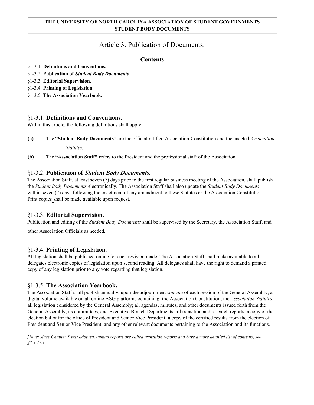# Article 3. Publication of Documents.

#### **Contents**

- §1-3.1. **Definitions and Conventions.**
- §1-3.2. **Publication of** *Student Body Documents.*
- §1-3.3. **Editorial Supervision.**
- §1-3.4. **Printing of Legislation.**
- §1-3.5. **The Association Yearbook.**

#### §1-3.1. **Definitions and Conventions.**

Within this article, the following definitions shall apply:

- **(a)** The **"Student Body Documents"** are the official ratified Association Constitution and the enacted *Association Statutes.*
- **(b)** The **"Association Staff"** refers to the President and the professional staff of the Association.

# §1-3.2. **Publication of** *Student Body Documents.*

The Association Staff, at least seven (7) days prior to the first regular business meeting of the Association, shall publish the *Student Body Documents* electronically. The Association Staff shall also update the *Student Body Documents* within seven (7) days following the enactment of any amendment to these Statutes or the Association Constitution Print copies shall be made available upon request.

#### §1-3.3. **Editorial Supervision.**

Publication and editing of the *Student Body Documents* shall be supervised by the Secretary, the Association Staff, and

other Association Officials as needed.

#### §1-3.4. **Printing of Legislation.**

All legislation shall be published online for each revision made. The Association Staff shall make available to all delegates electronic copies of legislation upon second reading. All delegates shall have the right to demand a printed copy of any legislation prior to any vote regarding that legislation.

#### §1-3.5. **The Association Yearbook.**

The Association Staff shall publish annually, upon the adjournment *sine die* of each session of the General Assembly, a digital volume available on all online ASG platforms containing: the Association Constitution; the *Association Statutes*; all legislation considered by the General Assembly; all agendas, minutes, and other documents issued forth from the General Assembly, its committees, and Executive Branch Departments; all transition and research reports; a copy of the election ballot for the office of President and Senior Vice President; a copy of the certified results from the election of President and Senior Vice President; and any other relevant documents pertaining to the Association and its functions.

*[Note: since Chapter 3 was adopted, annual reports are called transition reports and have a more detailed list of contents, see §3-1.17.]*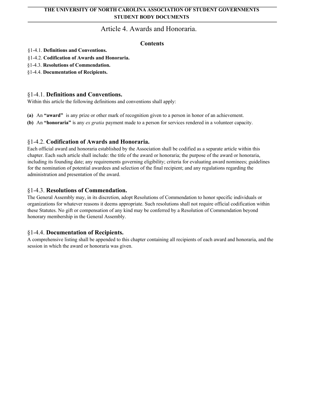# Article 4. Awards and Honoraria.

#### **Contents**

- §1-4.1. **Definitions and Conventions.**
- §1-4.2. **Codification of Awards and Honoraria.**
- §1-4.3. **Resolutions of Commendation.**
- §1-4.4. **Documentation of Recipients.**

#### §1-4.1. **Definitions and Conventions.**

Within this article the following definitions and conventions shall apply:

- **(a)** An **"award"** is any prize or other mark of recognition given to a person in honor of an achievement.
- **(b)** An **"honoraria"** is any *ex gratia* payment made to a person for services rendered in a volunteer capacity.

#### §1-4.2. **Codification of Awards and Honoraria.**

Each official award and honoraria established by the Association shall be codified as a separate article within this chapter. Each such article shall include: the title of the award or honoraria; the purpose of the award or honoraria, including its founding date; any requirements governing eligibility; criteria for evaluating award nominees; guidelines for the nomination of potential awardees and selection of the final recipient; and any regulations regarding the administration and presentation of the award.

#### §1-4.3. **Resolutions of Commendation.**

The General Assembly may, in its discretion, adopt Resolutions of Commendation to honor specific individuals or organizations for whatever reasons it deems appropriate. Such resolutions shall not require official codification within these Statutes. No gift or compensation of any kind may be conferred by a Resolution of Commendation beyond honorary membership in the General Assembly.

#### §1-4.4. **Documentation of Recipients.**

A comprehensive listing shall be appended to this chapter containing all recipients of each award and honoraria, and the session in which the award or honoraria was given.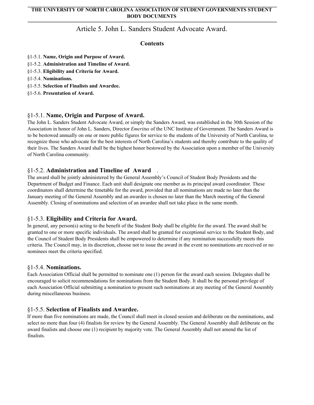# Article 5. John L. Sanders Student Advocate Award.

#### **Contents**

- §1-5.1. **Name, Origin and Purpose of Award.**
- §1-5.2. **Administration and Timeline of Award.**
- §1-5.3. **Eligibility and Criteria for Award.**
- §1-5.4. **Nominations.**
- §1-5.5. **Selection of Finalists and Awardee.**
- §1-5.6. **Presentation of Award.**

#### §1-5.1. **Name, Origin and Purpose of Award.**

The John L. Sanders Student Advocate Award, or simply the Sanders Award, was established in the 30th Session of the Association in honor of John L. Sanders, Director *Emeritus* of the UNC Institute of Government. The Sanders Award is to be bestowed annually on one or more public figures for service to the students of the University of North Carolina, to recognize those who advocate for the best interests of North Carolina's students and thereby contribute to the quality of their lives. The Sanders Award shall be the highest honor bestowed by the Association upon a member of the University of North Carolina community.

#### §1-5.2. **Administration and Timeline of Award** .

The award shall be jointly administered by the General Assembly's Council of Student Body Presidents and the Department of Budget and Finance. Each unit shall designate one member as its principal award coordinator. These coordinators shall determine the timetable for the award, provided that all nominations are made no later than the January meeting of the General Assembly and an awardee is chosen no later than the March meeting of the General Assembly. Closing of nominations and selection of an awardee shall not take place in the same month.

#### §1-5.3. **Eligibility and Criteria for Award.**

In general, any person(s) acting to the benefit of the Student Body shall be eligible for the award. The award shall be granted to one or more specific individuals. The award shall be granted for exceptional service to the Student Body, and the Council of Student Body Presidents shall be empowered to determine if any nomination successfully meets this criteria. The Council may, in its discretion, choose not to issue the award in the event no nominations are received or no nominees meet the criteria specified.

#### §1-5.4. **Nominations.**

Each Association Official shall be permitted to nominate one (1) person for the award each session. Delegates shall be encouraged to solicit recommendations for nominations from the Student Body. It shall be the personal privilege of each Association Official submitting a nomination to present such nominations at any meeting of the General Assembly during miscellaneous business.

#### §1-5.5. **Selection of Finalists and Awardee.**

If more than five nominations are made, the Council shall meet in closed session and deliberate on the nominations, and select no more than four (4) finalists for review by the General Assembly. The General Assembly shall deliberate on the award finalists and choose one (1) recipient by majority vote. The General Assembly shall not amend the list of finalists.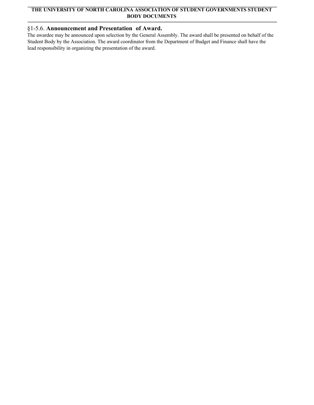## §1-5.6. **Announcement and Presentation of Award.**

The awardee may be announced upon selection by the General Assembly. The award shall be presented on behalf of the Student Body by the Association. The award coordinator from the Department of Budget and Finance shall have the lead responsibility in organizing the presentation of the award.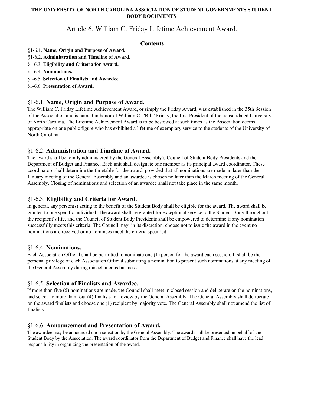# Article 6. William C. Friday Lifetime Achievement Award.

#### **Contents**

- §1-6.1. **Name, Origin and Purpose of Award.**
- §1-6.2. **Administration and Timeline of Award.**
- §1-6.3. **Eligibility and Criteria for Award.**
- §1-6.4. **Nominations.**
- §1-6.5. **Selection of Finalists and Awardee.**
- §1-6.6. **Presentation of Award.**

#### §1-6.1. **Name, Origin and Purpose of Award.**

The William C. Friday Lifetime Achievement Award, or simply the Friday Award, was established in the 35th Session of the Association and is named in honor of William C. "Bill" Friday, the first President of the consolidated University of North Carolina. The Lifetime Achievement Award is to be bestowed at such times as the Association deems appropriate on one public figure who has exhibited a lifetime of exemplary service to the students of the University of North Carolina.

#### §1-6.2. **Administration and Timeline of Award.**

The award shall be jointly administered by the General Assembly's Council of Student Body Presidents and the Department of Budget and Finance. Each unit shall designate one member as its principal award coordinator. These coordinators shall determine the timetable for the award, provided that all nominations are made no later than the January meeting of the General Assembly and an awardee is chosen no later than the March meeting of the General Assembly. Closing of nominations and selection of an awardee shall not take place in the same month.

#### §1-6.3. **Eligibility and Criteria for Award.**

In general, any person(s) acting to the benefit of the Student Body shall be eligible for the award. The award shall be granted to one specific individual. The award shall be granted for exceptional service to the Student Body throughout the recipient's life, and the Council of Student Body Presidents shall be empowered to determine if any nomination successfully meets this criteria. The Council may, in its discretion, choose not to issue the award in the event no nominations are received or no nominees meet the criteria specified.

#### §1-6.4. **Nominations.**

Each Association Official shall be permitted to nominate one (1) person for the award each session. It shall be the personal privilege of each Association Official submitting a nomination to present such nominations at any meeting of the General Assembly during miscellaneous business.

#### §1-6.5. **Selection of Finalists and Awardee.**

If more than five (5) nominations are made, the Council shall meet in closed session and deliberate on the nominations, and select no more than four (4) finalists for review by the General Assembly. The General Assembly shall deliberate on the award finalists and choose one (1) recipient by majority vote. The General Assembly shall not amend the list of finalists.

#### §1-6.6. **Announcement and Presentation of Award.**

The awardee may be announced upon selection by the General Assembly. The award shall be presented on behalf of the Student Body by the Association. The award coordinator from the Department of Budget and Finance shall have the lead responsibility in organizing the presentation of the award.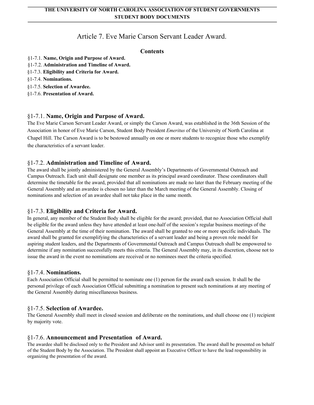# Article 7. Eve Marie Carson Servant Leader Award.

#### **Contents**

- §1-7.1. **Name, Origin and Purpose of Award.**
- §1-7.2. **Administration and Timeline of Award.**
- §1-7.3. **Eligibility and Criteria for Award.**
- §1-7.4. **Nominations.**
- §1-7.5. **Selection of Awardee.**
- §1-7.6. **Presentation of Award.**

# §1-7.1. **Name, Origin and Purpose of Award.**

The Eve Marie Carson Servant Leader Award, or simply the Carson Award, was established in the 36th Session of the Association in honor of Eve Marie Carson, Student Body President *Emeritus* of the University of North Carolina at Chapel Hill. The Carson Award is to be bestowed annually on one or more students to recognize those who exemplify the characteristics of a servant leader.

#### §1-7.2. **Administration and Timeline of Award.**

The award shall be jointly administered by the General Assembly's Departments of Governmental Outreach and Campus Outreach. Each unit shall designate one member as its principal award coordinator. These coordinators shall determine the timetable for the award, provided that all nominations are made no later than the February meeting of the General Assembly and an awardee is chosen no later than the March meeting of the General Assembly. Closing of nominations and selection of an awardee shall not take place in the same month.

#### §1-7.3. **Eligibility and Criteria for Award.**

In general, any member of the Student Body shall be eligible for the award; provided, that no Association Official shall be eligible for the award unless they have attended at least one-half of the session's regular business meetings of the General Assembly at the time of their nomination. The award shall be granted to one or more specific individuals. The award shall be granted for exemplifying the characteristics of a servant leader and being a proven role model for aspiring student leaders, and the Departments of Governmental Outreach and Campus Outreach shall be empowered to determine if any nomination successfully meets this criteria. The General Assembly may, in its discretion, choose not to issue the award in the event no nominations are received or no nominees meet the criteria specified.

#### §1-7.4. **Nominations.**

Each Association Official shall be permitted to nominate one (1) person for the award each session. It shall be the personal privilege of each Association Official submitting a nomination to present such nominations at any meeting of the General Assembly during miscellaneous business.

#### §1-7.5. **Selection of Awardee.**

The General Assembly shall meet in closed session and deliberate on the nominations, and shall choose one (1) recipient by majority vote.

#### §1-7.6. **Announcement and Presentation of Award.**

The awardee shall be disclosed only to the President and Advisor until its presentation. The award shall be presented on behalf of the Student Body by the Association. The President shall appoint an Executive Officer to have the lead responsibility in organizing the presentation of the award.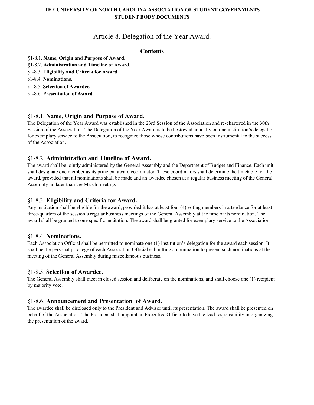# Article 8. Delegation of the Year Award.

#### **Contents**

- §1-8.1. **Name, Origin and Purpose of Award.**
- §1-8.2. **Administration and Timeline of Award.**
- §1-8.3. **Eligibility and Criteria for Award.**
- §1-8.4. **Nominations.**
- §1-8.5. **Selection of Awardee.**
- §1-8.6. **Presentation of Award.**

# §1-8.1. **Name, Origin and Purpose of Award.**

The Delegation of the Year Award was established in the 23rd Session of the Association and re-chartered in the 30th Session of the Association. The Delegation of the Year Award is to be bestowed annually on one institution's delegation for exemplary service to the Association, to recognize those whose contributions have been instrumental to the success of the Association.

#### §1-8.2. **Administration and Timeline of Award.**

The award shall be jointly administered by the General Assembly and the Department of Budget and Finance. Each unit shall designate one member as its principal award coordinator. These coordinators shall determine the timetable for the award, provided that all nominations shall be made and an awardee chosen at a regular business meeting of the General Assembly no later than the March meeting.

#### §1-8.3. **Eligibility and Criteria for Award.**

Any institution shall be eligible for the award, provided it has at least four (4) voting members in attendance for at least three-quarters of the session's regular business meetings of the General Assembly at the time of its nomination. The award shall be granted to one specific institution. The award shall be granted for exemplary service to the Association.

#### §1-8.4. **Nominations.**

Each Association Official shall be permitted to nominate one (1) institution's delegation for the award each session. It shall be the personal privilege of each Association Official submitting a nomination to present such nominations at the meeting of the General Assembly during miscellaneous business.

#### §1-8.5. **Selection of Awardee.**

The General Assembly shall meet in closed session and deliberate on the nominations, and shall choose one (1) recipient by majority vote.

# §1-8.6. **Announcement and Presentation of Award.**

The awardee shall be disclosed only to the President and Advisor until its presentation. The award shall be presented on behalf of the Association. The President shall appoint an Executive Officer to have the lead responsibility in organizing the presentation of the award.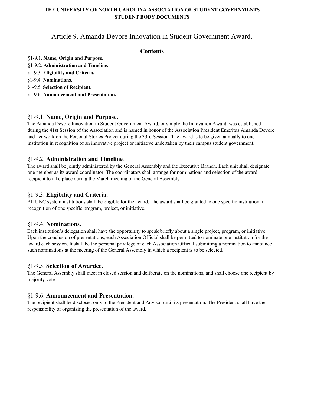# Article 9. Amanda Devore Innovation in Student Government Award.

#### **Contents**

- §1-9.1. **Name, Origin and Purpose.**
- §1-9.2. **Administration and Timeline.**
- §1-9.3. **Eligibility and Criteria.**
- §1-9.4. **Nominations.**
- §1-9.5. **Selection of Recipient.**
- §1-9.6. **Announcement and Presentation.**

# §1-9.1. **Name, Origin and Purpose.**

The Amanda Devore Innovation in Student Government Award, or simply the Innovation Award, was established during the 41st Session of the Association and is named in honor of the Association President Emeritus Amanda Devore and her work on the Personal Stories Project during the 33rd Session. The award is to be given annually to one institution in recognition of an innovative project or initiative undertaken by their campus student government.

#### §1-9.2. **Administration and Timeline**.

The award shall be jointly administered by the General Assembly and the Executive Branch. Each unit shall designate one member as its award coordinator. The coordinators shall arrange for nominations and selection of the award recipient to take place during the March meeting of the General Assembly

#### §1-9.3. **Eligibility and Criteria.**

All UNC system institutions shall be eligible for the award. The award shall be granted to one specific institution in recognition of one specific program, project, or initiative.

#### §1-9.4. **Nominations.**

Each institution's delegation shall have the opportunity to speak briefly about a single project, program, or initiative. Upon the conclusion of presentations, each Association Official shall be permitted to nominate one institution for the award each session. It shall be the personal privilege of each Association Official submitting a nomination to announce such nominations at the meeting of the General Assembly in which a recipient is to be selected.

#### §1-9.5. **Selection of Awardee.**

The General Assembly shall meet in closed session and deliberate on the nominations, and shall choose one recipient by majority vote.

#### §1-9.6. **Announcement and Presentation.**

The recipient shall be disclosed only to the President and Advisor until its presentation. The President shall have the responsibility of organizing the presentation of the award.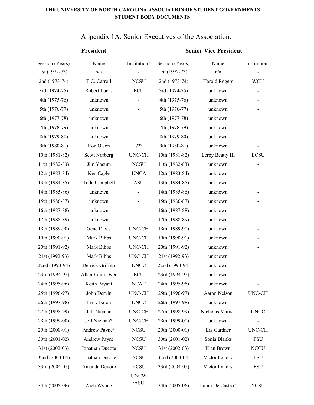| Session (Years) | Name             | Institution^                 | Session (Years) | Name             | Institution^                 |
|-----------------|------------------|------------------------------|-----------------|------------------|------------------------------|
| 1st $(1972-73)$ | n/a              |                              | 1st $(1972-73)$ | n/a              |                              |
| 2nd (1973-74)   | T.C. Carroll     | <b>NCSU</b>                  | 2nd (1973-74)   | Harold Rogers    | <b>WCU</b>                   |
| 3rd (1974-75)   | Robert Lucas     | <b>ECU</b>                   | 3rd (1974-75)   | unknown          | $\overline{\phantom{a}}$     |
| 4th (1975-76)   | unknown          |                              | 4th (1975-76)   | unknown          |                              |
| 5th (1976-77)   | unknown          | $\qquad \qquad \blacksquare$ | 5th (1976-77)   | unknown          | $\overline{\phantom{a}}$     |
| 6th (1977-78)   | unknown          |                              | 6th (1977-78)   | unknown          |                              |
| 7th (1978-79)   | unknown          |                              | 7th (1978-79)   | unknown          |                              |
| 8th (1979-80)   | unknown          |                              | 8th (1979-80)   | unknown          |                              |
| 9th (1980-81)   | Ron Olson        | ???                          | 9th (1980-81)   | unknown          | $\qquad \qquad \blacksquare$ |
| 10th (1981-82)  | Scott Norberg    | UNC-CH                       | 10th (1981-82)  | Leroy Beatty III | <b>ECSU</b>                  |
| 11th (1982-83)  | Jim Yocum        | <b>NCSU</b>                  | 11th (1982-83)  | unknown          | $\overline{\phantom{a}}$     |
| 12th (1983-84)  | Ken Cagle        | <b>UNCA</b>                  | 12th (1983-84)  | unknown          |                              |
| 13th (1984-85)  | Todd Campbell    | <b>ASU</b>                   | 13th (1984-85)  | unknown          | $\overline{\phantom{a}}$     |
| 14th (1985-86)  | unknown          |                              | 14th (1985-86)  | unknown          |                              |
| 15th (1986-87)  | unknown          | $\overline{\phantom{a}}$     | 15th (1986-87)  | unknown          | $\overline{\phantom{a}}$     |
| 16th (1987-88)  | unknown          |                              | 16th (1987-88)  | unknown          |                              |
| 17th (1988-89)  | unknown          |                              | 17th (1988-89)  | unknown          | $\overline{\phantom{a}}$     |
| 18th (1989-90)  | Gene Davis       | UNC-CH                       | 18th (1989-90)  | unknown          |                              |
| 19th (1990-91)  | Mark Bibbs       | UNC-CH                       | 19th (1990-91)  | unknown          | $\overline{\phantom{a}}$     |
| 20th (1991-92)  | Mark Bibbs       | UNC-CH                       | 20th (1991-92)  | unknown          |                              |
| 21st (1992-93)  | Mark Bibbs       | UNC-CH                       | 21st (1992-93)  | unknown          |                              |
| 22nd (1993-94)  | Derrick Griffith | <b>UNCC</b>                  | 22nd (1993-94)  | unknown          |                              |
| 23rd (1994-95)  | Allan Keith Dyer | <b>ECU</b>                   | 23rd (1994-95)  | unknown          |                              |
| 24th (1995-96)  | Keith Bryant     | <b>NCAT</b>                  | 24th (1995-96)  | unknown          |                              |
| 25th (1996-97)  | John Dervin      | UNC-CH                       | 25th (1996-97)  | Aaron Nelson     | UNC-CH                       |
| 26th (1997-98)  | Terry Eaton      | <b>UNCC</b>                  | 26th (1997-98)  | unknown          |                              |
| 27th (1998-99)  | Jeff Nieman      | UNC-CH                       | 27th (1998-99)  | Nicholas Marisis | <b>UNCC</b>                  |
| 28th (1999-00)  | Jeff Nieman*     | <b>UNC-CH</b>                | 28th (1999-00)  | unknown          |                              |
| 29th (2000-01)  | Andrew Payne*    | <b>NCSU</b>                  | 29th (2000-01)  | Liz Gardner      | UNC-CH                       |
| 30th (2001-02)  | Andrew Payne     | <b>NCSU</b>                  | 30th (2001-02)  | Sonia Blanks     | <b>FSU</b>                   |
| 31st (2002-03)  | Jonathan Ducote  | <b>NCSU</b>                  | 31st (2002-03)  | Kian Brown       | <b>NCCU</b>                  |
| 32nd (2003-04)  | Jonathan Ducote  | <b>NCSU</b>                  | 32nd (2003-04)  | Victor Landry    | FSU                          |
| 33rd (2004-05)  | Amanda Devore    | <b>NCSU</b>                  | 33rd (2004-05)  | Victor Landry    | <b>FSU</b>                   |
|                 |                  | <b>UNCW</b>                  |                 |                  |                              |
| 34th (2005-06)  | Zach Wynne       | /ASU                         | 34th (2005-06)  | Laura De Castro* | <b>NCSU</b>                  |

# Appendix 1A. Senior Executives of the Association.

**President Senior Vice President 1986**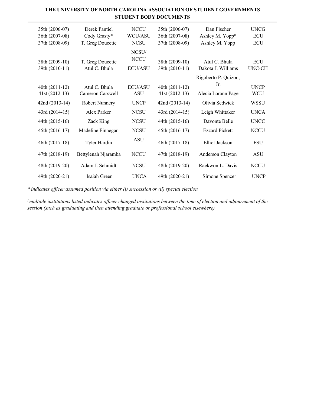| 35th (2006-07)<br>36th (2007-08)<br>37th (2008-09) | Derek Pantiel<br>Cody Grasty*<br>T. Greg Doucette | <b>NCCU</b><br>WCU/ASU<br><b>NCSU</b>  | 35th (2006-07)<br>36th (2007-08)<br>37th (2008-09) | Dan Fischer<br>Ashley M. Yopp*<br>Ashley M. Yopp  | <b>UNCG</b><br><b>ECU</b><br><b>ECU</b> |
|----------------------------------------------------|---------------------------------------------------|----------------------------------------|----------------------------------------------------|---------------------------------------------------|-----------------------------------------|
| 38th (2009-10)<br>39th (2010-11)                   | T. Greg Doucette<br>Atul C. Bhula                 | NCSU/<br><b>NCCU</b><br><b>ECU/ASU</b> | 38th (2009-10)<br>39th (2010-11)                   | Atul C. Bhula<br>Dakota J. Williams               | <b>ECU</b><br><b>UNC-CH</b>             |
| 40th (2011-12)<br>41st (2012-13)                   | Atul C. Bhula<br>Cameron Carswell                 | <b>ECU/ASU</b><br><b>ASU</b>           | 40th (2011-12)<br>$41st(2012-13)$                  | Rigoberto P. Quizon,<br>Jr.<br>Alecia Lorann Page | <b>UNCP</b><br>WCU                      |
| 42nd (2013-14)                                     | <b>Robert Nunnery</b>                             | <b>UNCP</b>                            | 42nd (2013-14)                                     | Olivia Sedwick                                    | WSSU                                    |
| 43rd (2014-15)                                     | Alex Parker                                       | <b>NCSU</b>                            | 43rd (2014-15)                                     | Leigh Whittaker                                   | <b>UNCA</b>                             |
| 44th (2015-16)                                     | Zack King                                         | <b>NCSU</b>                            | 44th (2015-16)                                     | Davonte Belle                                     | <b>UNCC</b>                             |
| 45th (2016-17)                                     | Madeline Finnegan                                 | <b>NCSU</b>                            | 45th (2016-17)                                     | <b>Ezzard Pickett</b>                             | <b>NCCU</b>                             |
| 46th (2017-18)                                     | Tyler Hardin                                      | <b>ASU</b>                             | 46th (2017-18)                                     | Elliot Jackson                                    | <b>FSU</b>                              |
| 47th (2018-19)                                     | Bettylenah Njaramba                               | <b>NCCU</b>                            | 47th (2018-19)                                     | Anderson Clayton                                  | <b>ASU</b>                              |
| 48th (2019-20)                                     | Adam J. Schmidt                                   | <b>NCSU</b>                            | 48th (2019-20)                                     | Raekwon L. Davis                                  | <b>NCCU</b>                             |
| 49th (2020-21)                                     | Isaiah Green                                      | <b>UNCA</b>                            | 49th (2020-21)                                     | Simone Spencer                                    | <b>UNCP</b>                             |

*\* indicates officer assumed position via either (i) succession or (ii) special election* 

*^multiple institutions listed indicates officer changed institutions between the time of election and adjournment of the session (such as graduating and then attending graduate or professional school elsewhere)*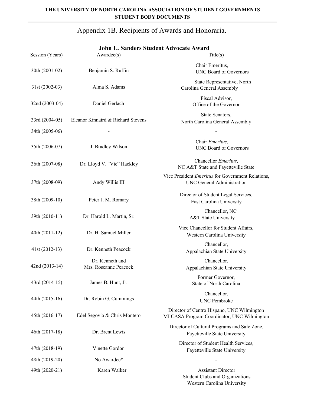# Appendix 1B. Recipients of Awards and Honoraria.

| <b>John L. Sanders Student Advocate Award</b> |                                          |                                                                                                    |  |  |
|-----------------------------------------------|------------------------------------------|----------------------------------------------------------------------------------------------------|--|--|
| Session (Years)                               | Awardee(s)                               | Title(s)                                                                                           |  |  |
| 30th (2001-02)                                | Benjamin S. Ruffin                       | Chair Emeritus,<br>UNC Board of Governors                                                          |  |  |
| 31st (2002-03)                                | Alma S. Adams                            | State Representative, North<br>Carolina General Assembly                                           |  |  |
| 32nd (2003-04)                                | Daniel Gerlach                           | Fiscal Advisor,<br>Office of the Governor                                                          |  |  |
| 33rd (2004-05)                                | Eleanor Kinnaird & Richard Stevens       | State Senators,<br>North Carolina General Assembly                                                 |  |  |
| 34th (2005-06)                                |                                          |                                                                                                    |  |  |
| 35th (2006-07)                                | J. Bradley Wilson                        | Chair Emeritus,<br>UNC Board of Governors                                                          |  |  |
| 36th (2007-08)                                | Dr. Lloyd V. "Vic" Hackley               | Chancellor Emeritus,<br>NC A&T State and Fayetteville State                                        |  |  |
| 37th (2008-09)                                | Andy Willis III                          | Vice President Emeritus for Government Relations,<br><b>UNC General Administration</b>             |  |  |
| 38th (2009-10)                                | Peter J. M. Romary                       | Director of Student Legal Services,<br>East Carolina University                                    |  |  |
| 39th (2010-11)                                | Dr. Harold L. Martin, Sr.                | Chancellor, NC<br>A&T State University                                                             |  |  |
| $40th(2011-12)$                               | Dr. H. Samuel Miller                     | Vice Chancellor for Student Affairs,<br>Western Carolina University                                |  |  |
| 41st (2012-13)                                | Dr. Kenneth Peacock                      | Chancellor,<br>Appalachian State University                                                        |  |  |
| 42nd (2013-14)                                | Dr. Kenneth and<br>Mrs. Roseanne Peacock | Chancellor,<br>Appalachian State University                                                        |  |  |
| 43rd (2014-15)                                | James B. Hunt, Jr.                       | Former Governor,<br>State of North Carolina                                                        |  |  |
| 44th (2015-16)                                | Dr. Robin G. Cummings                    | Chancellor,<br><b>UNC</b> Pembroke                                                                 |  |  |
| 45th (2016-17)                                | Edel Segovia & Chris Montero             | Director of Centro Hispano, UNC Wilmington<br>MI CASA Program Coordinator, UNC Wilmington          |  |  |
| 46th (2017-18)                                | Dr. Brent Lewis                          | Director of Cultural Programs and Safe Zone,<br>Fayetteville State University                      |  |  |
| 47th (2018-19)                                | Vinette Gordon                           | Director of Student Health Services,<br>Fayetteville State University                              |  |  |
| 48th (2019-20)                                | No Awardee*                              |                                                                                                    |  |  |
| 49th (2020-21)                                | Karen Walker                             | <b>Assistant Director</b><br><b>Student Clubs and Organizations</b><br>Western Carolina University |  |  |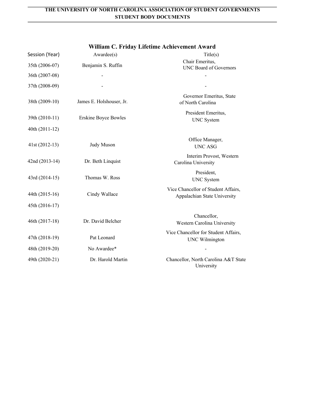| William C. Friday Lifetime Achievement Award |                          |                                                                     |  |  |  |
|----------------------------------------------|--------------------------|---------------------------------------------------------------------|--|--|--|
| Session (Year)                               | Awardee(s)               | Title(s)                                                            |  |  |  |
| 35th (2006-07)                               | Benjamin S. Ruffin       | Chair Emeritus,<br><b>UNC Board of Governors</b>                    |  |  |  |
| 36th (2007-08)                               |                          |                                                                     |  |  |  |
| 37th (2008-09)                               |                          |                                                                     |  |  |  |
| 38th (2009-10)                               | James E. Holshouser, Jr. | Governor Emeritus, State<br>of North Carolina                       |  |  |  |
| 39th (2010-11)                               | Erskine Boyce Bowles     | President Emeritus,<br><b>UNC</b> System                            |  |  |  |
| 40th (2011-12)                               |                          |                                                                     |  |  |  |
| $41st(2012-13)$                              | Judy Muson               | Office Manager,<br><b>UNC ASG</b>                                   |  |  |  |
| 42nd (2013-14)                               | Dr. Beth Linquist        | Interim Provost, Western<br>Carolina University                     |  |  |  |
| 43rd (2014-15)                               | Thomas W. Ross           | President,<br><b>UNC</b> System                                     |  |  |  |
| 44th (2015-16)                               | Cindy Wallace            | Vice Chancellor of Student Affairs,<br>Appalachian State University |  |  |  |
| 45th (2016-17)                               |                          |                                                                     |  |  |  |
| 46th (2017-18)                               | Dr. David Belcher        | Chancellor,<br>Western Carolina University                          |  |  |  |
| 47th (2018-19)                               | Pat Leonard              | Vice Chancellor for Student Affairs,<br><b>UNC</b> Wilmington       |  |  |  |
| 48th (2019-20)                               | No Awardee*              |                                                                     |  |  |  |
| 49th (2020-21)                               | Dr. Harold Martin        | Chancellor, North Carolina A&T State<br>University                  |  |  |  |

#### **William C. Friday Lifetime Achievement Award**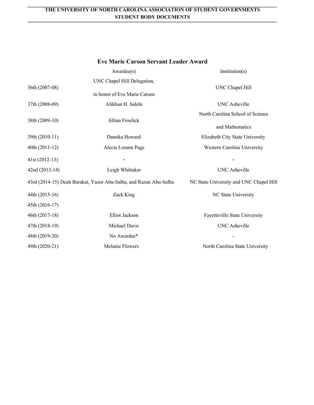$\overline{\phantom{a}}$ 

| <b>Eve Marie Carson Servant Leader Award</b> |  |  |  |  |  |  |
|----------------------------------------------|--|--|--|--|--|--|
|----------------------------------------------|--|--|--|--|--|--|

|                | Awardee(s)                                                        | Institution(s)                          |
|----------------|-------------------------------------------------------------------|-----------------------------------------|
|                | UNC Chapel Hill Delegation,                                       |                                         |
| 36th (2007-08) | in honor of Eve Marie Carson                                      | UNC Chapel Hill                         |
| 37th (2008-09) | Alikhan H. Salehi                                                 | UNC Asheville                           |
|                |                                                                   | North Carolina School of Science        |
| 38th (2009-10) | Jillian Froelick                                                  | and Mathematics                         |
| 39th (2010-11) | Damika Howard                                                     | Elizabeth City State University         |
| 40th (2011-12) | Alecia Lorann Page                                                | Western Carolina University             |
| 41st (2012-13) |                                                                   |                                         |
| 42nd (2013-14) | Leigh Whittaker                                                   | <b>UNC</b> Asheville                    |
|                | 43rd (2014-15) Deah Barakat, Yusor Abu-Salha, and Razan Abu-Salha | NC State University and UNC Chapel Hill |
| 44th (2015-16) | Zack King                                                         | NC State University                     |
| 45th (2016-17) |                                                                   |                                         |
| 46th (2017-18) | Elliot Jackson                                                    | Fayetteville State University           |
| 47th (2018-19) | Michael Davis                                                     | <b>UNC</b> Asheville                    |
| 48th (2019-20) | No Awardee*                                                       |                                         |
| 49th (2020-21) | Melanie Flowers                                                   | North Carolina State University         |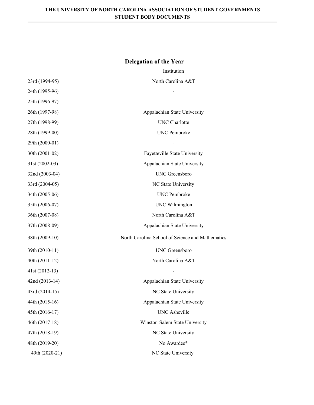# **Delegation of the Year**

|                 | Institution                                      |
|-----------------|--------------------------------------------------|
| 23rd (1994-95)  | North Carolina A&T                               |
| 24th (1995-96)  |                                                  |
| 25th (1996-97)  |                                                  |
| 26th (1997-98)  | Appalachian State University                     |
| 27th (1998-99)  | <b>UNC</b> Charlotte                             |
| 28th (1999-00)  | <b>UNC</b> Pembroke                              |
| 29th (2000-01)  |                                                  |
| 30th (2001-02)  | Fayetteville State University                    |
| 31st (2002-03)  | Appalachian State University                     |
| 32nd (2003-04)  | <b>UNC</b> Greensboro                            |
| 33rd (2004-05)  | NC State University                              |
| 34th (2005-06)  | <b>UNC</b> Pembroke                              |
| 35th (2006-07)  | <b>UNC</b> Wilmington                            |
| 36th (2007-08)  | North Carolina A&T                               |
| 37th (2008-09)  | Appalachian State University                     |
| 38th (2009-10)  | North Carolina School of Science and Mathematics |
| 39th (2010-11)  | <b>UNC</b> Greensboro                            |
| $40th(2011-12)$ | North Carolina A&T                               |
| $41st(2012-13)$ |                                                  |
| 42nd (2013-14)  | Appalachian State University                     |
| 43rd (2014-15)  | NC State University                              |
| 44th (2015-16)  | Appalachian State University                     |
| 45th (2016-17)  | UNC Asheville                                    |
| 46th (2017-18)  | Winston-Salem State University                   |
| 47th (2018-19)  | NC State University                              |
| 48th (2019-20)  | No Awardee*                                      |
| 49th (2020-21)  | NC State University                              |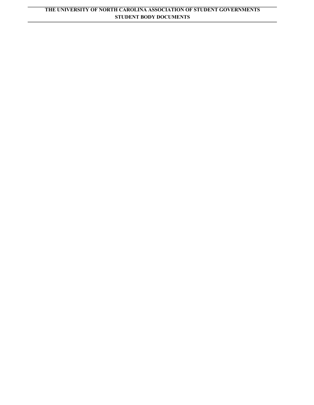$\overline{\phantom{a}}$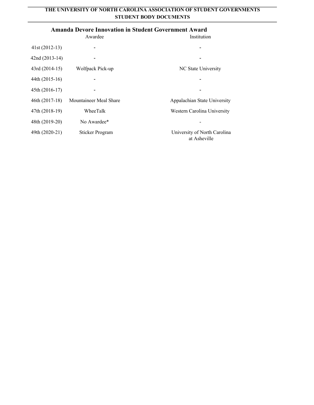|                 | Awardee                | Institution                                  |
|-----------------|------------------------|----------------------------------------------|
| $41st(2012-13)$ |                        |                                              |
| 42nd (2013-14)  |                        |                                              |
| $43rd(2014-15)$ | Wolfpack Pick-up       | NC State University                          |
| 44th (2015-16)  |                        |                                              |
| 45th (2016-17)  |                        |                                              |
| $46th(2017-18)$ | Mountaineer Meal Share | Appalachian State University                 |
| 47th (2018-19)  | WheeTalk               | Western Carolina University                  |
| 48th (2019-20)  | No Awardee*            |                                              |
| 49th (2020-21)  | Sticker Program        | University of North Carolina<br>at Asheville |

#### **Amanda Devore Innovation in Student Government Award**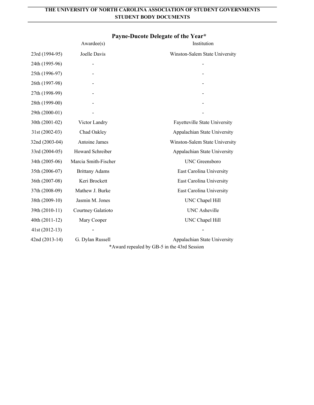|                 | Awardee(s)            | Institution                                 |
|-----------------|-----------------------|---------------------------------------------|
| 23rd (1994-95)  | Joelle Davis          | Winston-Salem State University              |
| 24th (1995-96)  |                       |                                             |
| 25th (1996-97)  |                       |                                             |
| 26th (1997-98)  |                       |                                             |
| 27th (1998-99)  |                       |                                             |
| 28th (1999-00)  |                       |                                             |
| 29th (2000-01)  |                       |                                             |
| 30th (2001-02)  | Victor Landry         | Fayetteville State University               |
| 31st (2002-03)  | Chad Oakley           | Appalachian State University                |
| 32nd (2003-04)  | Antoine James         | Winston-Salem State University              |
| 33rd (2004-05)  | Howard Schreiber      | Appalachian State University                |
| 34th (2005-06)  | Marcia Smith-Fischer  | <b>UNC</b> Greensboro                       |
| 35th (2006-07)  | <b>Brittany Adams</b> | East Carolina University                    |
| 36th (2007-08)  | Keri Brockett         | East Carolina University                    |
| 37th (2008-09)  | Mathew J. Burke       | East Carolina University                    |
| 38th (2009-10)  | Jasmin M. Jones       | UNC Chapel Hill                             |
| 39th (2010-11)  | Courtney Galatioto    | <b>UNC</b> Asheville                        |
| 40th (2011-12)  | Mary Cooper           | UNC Chapel Hill                             |
| $41st(2012-13)$ |                       |                                             |
| 42nd (2013-14)  | G. Dylan Russell      | Appalachian State University                |
|                 |                       | *Award repealed by GB-5 in the 43rd Session |

# **Payne-Ducote Delegate of the Year\***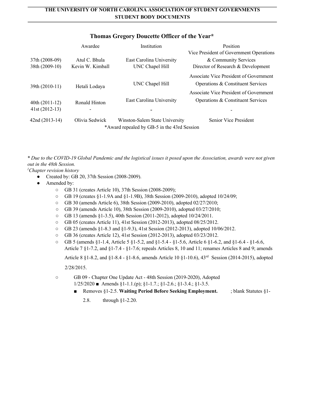|                                             | Awardee                           | Institution                    | Position                                |  |
|---------------------------------------------|-----------------------------------|--------------------------------|-----------------------------------------|--|
|                                             |                                   |                                | Vice President of Government Operations |  |
| 37th (2008-09)                              | Atul C. Bhula<br>Kevin W. Kimball | East Carolina University       | & Community Services                    |  |
| 38th (2009-10)                              |                                   | UNC Chapel Hill                | Director of Research & Development      |  |
|                                             |                                   |                                | Associate Vice President of Government  |  |
| 39th (2010-11)                              | Hetali Lodaya                     | UNC Chapel Hill                | Operations & Constituent Services       |  |
|                                             |                                   |                                | Associate Vice President of Government  |  |
| $40th(2011-12)$<br>$41st(2012-13)$          | Ronald Hinton<br>-                | East Carolina University       | Operations & Constituent Services       |  |
|                                             |                                   |                                |                                         |  |
| $42nd (2013-14)$                            | Olivia Sedwick                    | Winston-Salem State University | Senior Vice President                   |  |
| *Award repealed by GB-5 in the 43rd Session |                                   |                                |                                         |  |

#### **Thomas Gregory Doucette Officer of the Year\***

*\* Due to the COVID-19 Global Pandemic and the logistical issues it posed upon the Association, awards were not given out in the 48th Session.* 

*1 Chapter revision history*

- Created by: GB 20, 37th Session (2008-2009).
- Amended by:
	- GB 31 (creates Article 10), 37th Session (2008-2009);
	- GB 19 (creates §1-1.9A and §1-1.9B), 38th Session (2009-2010), adopted 10/24/09;
	- GB 30 (amends Article 6), 38th Session (2009-2010), adopted 02/27/2010;
	- GB 39 (amends Article 10), 38th Session (2009-2010), adopted 03/27/2010;
	- GB 13 (amends §1-3.5), 40th Session (2011-2012), adopted 10/24/2011.
	- GB 05 (creates Article 11), 41st Session (2012-2013), adopted 08/25/2012.
	- GB 23 (amends §1-8.3 and §1-9.3), 41st Session (2012-2013), adopted 10/06/2012.
	- GB 36 (creates Article 12), 41st Session (2012-2013), adopted 03/23/2012.
	- GB 5 (amends §1-1.4, Article 5 §1-5.2, and §1-5.4 §1-5.6, Article 6 §1-6.2, and §1-6.4 §1-6.6, Article 7 §1-7.2, and §1-7.4 - §1-7.6; repeals Articles 8, 10 and 11; renames Articles 8 and 9; amends

Article 8 §1-8.2, and §1-8.4 - §1-8.6, amends Article 10 §1-10.6), 43rd Session (2014-2015), adopted

2/28/2015.

- GB 09 Chapter One Update Act 48th Session (2019-2020), Adopted 1/25/2020 ■ Amends §1-1.1.(p); §1-1.7.; §1-2.6.; §1-3.4.; §1-3.5.
	- Removes §1-2.5. **Waiting Period Before Seeking Employment.** ; blank Statutes §1-
		- 2.8. through §1-2.20.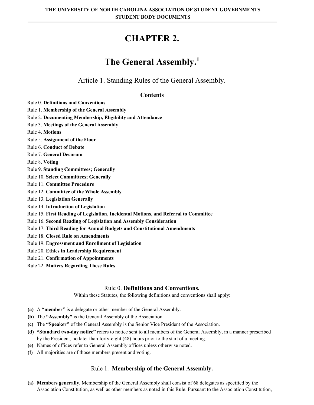# **CHAPTER 2.**

# **The General Assembly.1**

Article 1. Standing Rules of the General Assembly.

#### **Contents**

Rule 0. **Definitions and Conventions** 

Rule 1. **Membership of the General Assembly** 

Rule 2. **Documenting Membership, Eligibility and Attendance** 

Rule 3. **Meetings of the General Assembly** 

Rule 4. **Motions**

Rule 5. **Assignment of the Floor** 

Rule 6. **Conduct of Debate** 

Rule 7. **General Decorum** 

Rule 8. **Voting** 

Rule 9. **Standing Committees; Generally** 

Rule 10. **Select Committees; Generally** 

Rule 11. **Committee Procedure** 

Rule 12. **Committee of the Whole Assembly** 

Rule 13. **Legislation Generally** 

Rule 14. **Introduction of Legislation** 

Rule 15. **First Reading of Legislation, Incidental Motions, and Referral to Committee** 

Rule 16. **Second Reading of Legislation and Assembly Consideration** 

Rule 17. **Third Reading for Annual Budgets and Constitutional Amendments** 

Rule 18. **Closed Rule on Amendments** 

Rule 19. **Engrossment and Enrollment of Legislation** 

Rule 20. **Ethics in Leadership Requirement**

Rule 21. **Confirmation of Appointments**

Rule 22. **Matters Regarding These Rules** 

#### Rule 0. **Definitions and Conventions.**

Within these Statutes, the following definitions and conventions shall apply:

- **(a)** A **"member"** is a delegate or other member of the General Assembly.
- **(b)** The **"Assembly"** is the General Assembly of the Association.
- **(c)** The **"Speaker"** of the General Assembly is the Senior Vice President of the Association.
- **(d) "Standard two-day notice"** refers to notice sent to all members of the General Assembly, in a manner prescribed by the President, no later than forty-eight (48) hours prior to the start of a meeting.
- **(e)** Names of offices refer to General Assembly offices unless otherwise noted.
- **(f)** All majorities are of those members present and voting.

# Rule 1. **Membership of the General Assembly.**

**(a) Members generally.** Membership of the General Assembly shall consist of 68 delegates as specified by the Association Constitution, as well as other members as noted in this Rule. Pursuant to the Association Constitution,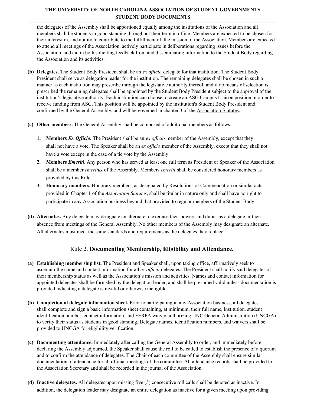the delegates of the Assembly shall be apportioned equally among the institutions of the Association and all members shall be students in good standing throughout their term in office. Members are expected to be chosen for their interest in, and ability to contribute to the fulfillment of, the mission of the Association. Members are expected to attend all meetings of the Association, actively participate in deliberations regarding issues before the Association, and aid in both soliciting feedback from and disseminating information to the Student Body regarding the Association and its activities.

- **(b) Delegates.** The Student Body President shall be an *ex officio* delegate for that institution. The Student Body President shall serve as delegation leader for the institution. The remaining delegates shall be chosen in such a manner as each institution may prescribe through the legislative authority thereof, and if no means of selection is prescribed the remaining delegates shall be appointed by the Student Body President subject to the approval of the institution's legislative authority. Each institution can choose to create an ASG Campus Liaison position in order to receive funding from ASG. This position will be appointed by the institution's Student Body President and confirmed by the General Assembly, and will be governed in chapter 3 of the Association Statutes.
- **(c) Other members.** The General Assembly shall be composed of additional members as follows:
	- **1. Members** *Ex Officio***.** The President shall be an *ex officio* member of the Assembly, except that they shall not have a vote. The Speaker shall be an *ex officio* member of the Assembly, except that they shall not have a vote except in the case of a tie vote by the Assembly.
	- **2. Members** *Emeriti*. Any person who has served at least one full term as President or Speaker of the Association shall be a member *emeritus* of the Assembly. Members *emeriti* shall be considered honorary members as provided by this Rule.
	- **3. Honorary members.** Honorary members, as designated by Resolutions of Commendation or similar acts provided in Chapter 1 of the *Association Statutes*, shall be titular in nature only and shall have no right to participate in any Association business beyond that provided to regular members of the Student Body.
- **(d) Alternates.** Any delegate may designate an alternate to exercise their powers and duties as a delegate in their absence from meetings of the General Assembly. No other members of the Assembly may designate an alternate. All alternates must meet the same standards and requirements as the delegates they replace.

# Rule 2. **Documenting Membership, Eligibility and Attendance.**

- **(a) Establishing membership list.** The President and Speaker shall, upon taking office, affirmatively seek to ascertain the name and contact information for all *ex officio* delegates. The President shall notify said delegates of their membership status as well as the Association's mission and activities. Names and contact information for appointed delegates shall be furnished by the delegation leader, and shall be presumed valid unless documentation is provided indicating a delegate is invalid or otherwise ineligible.
- **(b) Completion of delegate information sheet.** Prior to participating in any Association business, all delegates shall complete and sign a basic information sheet containing, at minimum, their full name, institution, student identification number, contact information, and FERPA waiver authorizing UNC General Administration (UNCGA) to verify their status as students in good standing. Delegate names, identification numbers, and waivers shall be provided to UNCGA for eligibility verification.
- **(c) Documenting attendance.** Immediately after calling the General Assembly to order, and immediately before declaring the Assembly adjourned, the Speaker shall cause the roll to be called to establish the presence of a quorum and to confirm the attendance of delegates. The Chair of each committee of the Assembly shall ensure similar documentation of attendance for all official meetings of the committee. All attendance records shall be provided to the Association Secretary and shall be recorded in the journal of the Association.
- **(d) Inactive delegates.** All delegates upon missing five (5) consecutive roll calls shall be denoted as inactive. In addition, the delegation leader may designate an entire delegation as inactive for a given meeting upon providing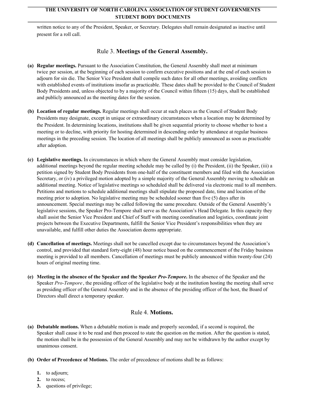written notice to any of the President, Speaker, or Secretary. Delegates shall remain designated as inactive until present for a roll call.

#### Rule 3. **Meetings of the General Assembly.**

- **(a) Regular meetings.** Pursuant to the Association Constitution, the General Assembly shall meet at minimum twice per session, at the beginning of each session to confirm executive positions and at the end of each session to adjourn for sin die. The Senior Vice President shall compile such dates for all other meetings, avoiding conflicts with established events of institutions insofar as practicable. These dates shall be provided to the Council of Student Body Presidents and, unless objected to by a majority of the Council within fifteen (15) days, shall be established and publicly announced as the meeting dates for the session.
- **(b) Location of regular meetings.** Regular meetings shall occur at such places as the Council of Student Body Presidents may designate, except in unique or extraordinary circumstances when a location may be determined by the President. In determining locations, institutions shall be given sequential priority to choose whether to host a meeting or to decline, with priority for hosting determined in descending order by attendance at regular business meetings in the preceding session. The location of all meetings shall be publicly announced as soon as practicable after adoption.
- **(c) Legislative meetings.** In circumstances in which where the General Assembly must consider legislation, additional meetings beyond the regular meeting schedule may be called by (i) the President, (ii) the Speaker, (iii) a petition signed by Student Body Presidents from one-half of the constituent members and filed with the Association Secretary, or (iv) a privileged motion adopted by a simple majority of the General Assembly moving to schedule an additional meeting. Notice of legislative meetings so scheduled shall be delivered via electronic mail to all members. Petitions and motions to schedule additional meetings shall stipulate the proposed date, time and location of the meeting prior to adoption. No legislative meeting may be scheduled sooner than five (5) days after its announcement. Special meetings may be called following the same procedure. Outside of the General Assembly's legislative sessions, the Speaker Pro-Tempore shall serve as the Association's Head Delegate. In this capacity they shall assist the Senior Vice President and Chief of Staff with meeting coordination and logistics, coordinate joint projects between the Executive Departments, fulfill the Senior Vice President's responsibilities when they are unavailable, and fulfill other duties the Association deems appropriate.
- **(d) Cancellation of meetings.** Meetings shall not be cancelled except due to circumstances beyond the Association's control, and provided that standard forty-eight (48) hour notice based on the commencement of the Friday business meeting is provided to all members. Cancellation of meetings must be publicly announced within twenty-four (24) hours of original meeting time.
- **(e) Meeting in the absence of the Speaker and the Speaker** *Pro-Tempore***.** In the absence of the Speaker and the Speaker *Pro-Tempore* , the presiding officer of the legislative body at the institution hosting the meeting shall serve as presiding officer of the General Assembly and in the absence of the presiding officer of the host, the Board of Directors shall direct a temporary speaker.

# Rule 4. **Motions.**

- **(a) Debatable motions.** When a debatable motion is made and properly seconded, if a second is required, the Speaker shall cause it to be read and then proceed to state the question on the motion. After the question is stated, the motion shall be in the possession of the General Assembly and may not be withdrawn by the author except by unanimous consent.
- **(b) Order of Precedence of Motions.** The order of precedence of motions shall be as follows:
	- **1.** to adjourn;
	- **2.** to recess;
	- **3.** questions of privilege;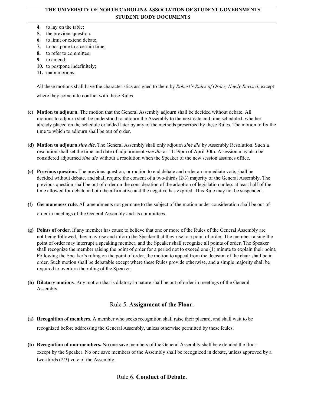- **4.** to lay on the table;
- **5.** the previous question;
- **6.** to limit or extend debate;
- **7.** to postpone to a certain time;
- **8.** to refer to committee;
- **9.** to amend;
- **10.** to postpone indefinitely;
- **11.** main motions.

All these motions shall have the characteristics assigned to them by *Robert's Rules of Order, Newly Revised*, except

where they come into conflict with these Rules.

- **(c) Motion to adjourn.** The motion that the General Assembly adjourn shall be decided without debate. All motions to adjourn shall be understood to adjourn the Assembly to the next date and time scheduled, whether already placed on the schedule or added later by any of the methods prescribed by these Rules. The motion to fix the time to which to adjourn shall be out of order.
- **(d) Motion to adjourn** *sine die***.** The General Assembly shall only adjourn *sine die* by Assembly Resolution. Such a resolution shall set the time and date of adjournment *sine die* as 11:59pm of April 30th. A session may also be considered adjourned *sine die* without a resolution when the Speaker of the new session assumes office.
- **(e) Previous question.** The previous question, or motion to end debate and order an immediate vote, shall be decided without debate, and shall require the consent of a two-thirds (2/3) majority of the General Assembly. The previous question shall be out of order on the consideration of the adoption of legislation unless at least half of the time allowed for debate in both the affirmative and the negative has expired. This Rule may not be suspended.
- **(f) Germaneness rule.** All amendments not germane to the subject of the motion under consideration shall be out of order in meetings of the General Assembly and its committees.
- **(g) Points of order.** If any member has cause to believe that one or more of the Rules of the General Assembly are not being followed, they may rise and inform the Speaker that they rise to a point of order. The member raising the point of order may interrupt a speaking member, and the Speaker shall recognize all points of order. The Speaker shall recognize the member raising the point of order for a period not to exceed one (1) minute to explain their point. Following the Speaker's ruling on the point of order, the motion to appeal from the decision of the chair shall be in order. Such motion shall be debatable except where these Rules provide otherwise, and a simple majority shall be required to overturn the ruling of the Speaker.
- **(h) Dilatory motions**. Any motion that is dilatory in nature shall be out of order in meetings of the General Assembly.

# Rule 5. **Assignment of the Floor.**

- **(a) Recognition of members.** A member who seeks recognition shall raise their placard, and shall wait to be recognized before addressing the General Assembly, unless otherwise permitted by these Rules.
- **(b) Recognition of non-members.** No one save members of the General Assembly shall be extended the floor except by the Speaker. No one save members of the Assembly shall be recognized in debate, unless approved by a two-thirds (2/3) vote of the Assembly.

# Rule 6. **Conduct of Debate.**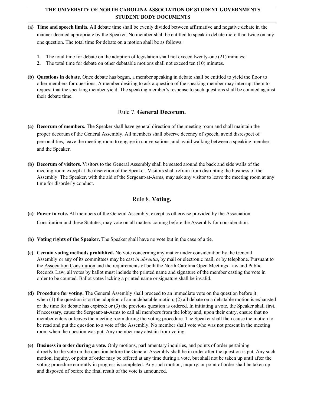- **(a) Time and speech limits.** All debate time shall be evenly divided between affirmative and negative debate in the manner deemed appropriate by the Speaker. No member shall be entitled to speak in debate more than twice on any one question. The total time for debate on a motion shall be as follows:
	- **1.** The total time for debate on the adoption of legislation shall not exceed twenty-one (21) minutes;
	- **2.** The total time for debate on other debatable motions shall not exceed ten (10) minutes.
- **(b) Questions in debate.** Once debate has begun, a member speaking in debate shall be entitled to yield the floor to other members for questions. A member desiring to ask a question of the speaking member may interrupt them to request that the speaking member yield. The speaking member's response to such questions shall be counted against their debate time.

#### Rule 7. **General Decorum.**

- **(a) Decorum of members.** The Speaker shall have general direction of the meeting room and shall maintain the proper decorum of the General Assembly. All members shall observe decency of speech, avoid disrespect of personalities, leave the meeting room to engage in conversations, and avoid walking between a speaking member and the Speaker.
- **(b) Decorum of visitors.** Visitors to the General Assembly shall be seated around the back and side walls of the meeting room except at the discretion of the Speaker. Visitors shall refrain from disrupting the business of the Assembly. The Speaker, with the aid of the Sergeant-at-Arms, may ask any visitor to leave the meeting room at any time for disorderly conduct.

#### Rule 8. **Voting.**

- **(a) Power to vote.** All members of the General Assembly, except as otherwise provided by the Association Constitution and these Statutes, may vote on all matters coming before the Assembly for consideration.
- **(b) Voting rights of the Speaker.** The Speaker shall have no vote but in the case of a tie.
- **(c) Certain voting methods prohibited.** No vote concerning any matter under consideration by the General Assembly or any of its committees may be cast *in absentia*, by mail or electronic mail, or by telephone. Pursuant to the Association Constitution and the requirements of both the North Carolina Open Meetings Law and Public Records Law, all votes by ballot must include the printed name and signature of the member casting the vote in order to be counted. Ballot votes lacking a printed name or signature shall be invalid.
- **(d) Procedure for voting.** The General Assembly shall proceed to an immediate vote on the question before it when (1) the question is on the adoption of an undebatable motion; (2) all debate on a debatable motion is exhausted or the time for debate has expired; or (3) the previous question is ordered. In initiating a vote, the Speaker shall first, if necessary, cause the Sergeant-at-Arms to call all members from the lobby and, upon their entry, ensure that no member enters or leaves the meeting room during the voting procedure. The Speaker shall then cause the motion to be read and put the question to a vote of the Assembly. No member shall vote who was not present in the meeting room when the question was put. Any member may abstain from voting.
- **(e) Business in order during a vote.** Only motions, parliamentary inquiries, and points of order pertaining directly to the vote on the question before the General Assembly shall be in order after the question is put. Any such motion, inquiry, or point of order may be offered at any time during a vote, but shall not be taken up until after the voting procedure currently in progress is completed. Any such motion, inquiry, or point of order shall be taken up and disposed of before the final result of the vote is announced.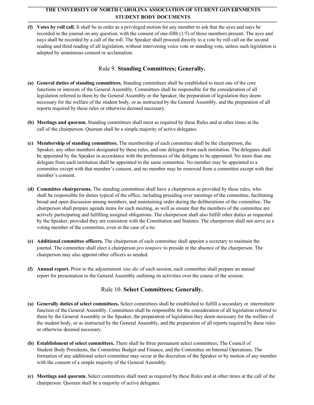**(f) Votes by roll call.** It shall be in order as a privileged motion for any member to ask that the ayes and nays be recorded in the journal on any question, with the consent of one-fifth (1/5) of those members present. The ayes and nays shall be recorded by a call of the roll. The Speaker shall proceed directly to a vote by roll call on the second reading and third reading of all legislation, without intervening voice vote or standing vote, unless such legislation is adopted by unanimous consent or acclamation.

#### Rule 9. **Standing Committees; Generally.**

- **(a) General duties of standing committees.** Standing committees shall be established to meet one of the core functions or interests of the General Assembly. Committees shall be responsible for the consideration of all legislation referred to them by the General Assembly or the Speaker, the preparation of legislation they deem necessary for the welfare of the student body, or as instructed by the General Assembly, and the preparation of all reports required by these rules or otherwise deemed necessary.
- **(b) Meetings and quorum.** Standing committees shall meet as required by these Rules and at other times at the call of the chairperson. Quorum shall be a simple majority of active delegates.
- **(c) Membership of standing committees.** The membership of each committee shall be the chairperson, the Speaker, any other members designated by these rules, and one delegate from each institution. The delegates shall be appointed by the Speaker in accordance with the preferences of the delegate to be appointed. No more than one delegate from each institution shall be appointed to the same committee. No member may be appointed to a committee except with that member's consent, and no member may be removed from a committee except with that member's consent.
- **(d) Committee chairpersons.** The standing committees shall have a chairperson as provided by these rules, who shall be responsible for duties typical of the office, including presiding over meetings of the committee, facilitating broad and open discussion among members, and maintaining order during the deliberations of the committee. The chairperson shall prepare agenda items for each meeting, as well as ensure that the members of the committee are actively participating and fulfilling assigned obligations. The chairperson shall also fulfill other duties as requested by the Speaker, provided they are consistent with the Constitution and Statutes. The chairperson shall not serve as a voting member of the committee, even in the case of a tie.
- **(e) Additional committee officers.** The chairperson of each committee shall appoint a secretary to maintain the journal. The committee shall elect a chairperson *pro tempore* to preside in the absence of the chairperson. The chairperson may also appoint other officers as needed.
- **(f) Annual report.** Prior to the adjournment *sine die* of each session, each committee shall prepare an annual report for presentation to the General Assembly outlining its activities over the course of the session.

#### Rule 10. **Select Committees; Generally.**

- **(a) Generally duties of select committees.** Select committees shall be established to fulfill a secondary or intermittent function of the General Assembly. Committees shall be responsible for the consideration of all legislation referred to them by the General Assembly or the Speaker, the preparation of legislation they deem necessary for the welfare of the student body, or as instructed by the General Assembly, and the preparation of all reports required by these rules or otherwise deemed necessary.
- **(b) Establishment of select committees.** There shall be three permanent select committees; The Council of Student Body Presidents, the Committee Budget and Finance, and the Committee on Internal Operations. The formation of any additional select committee may occur at the discretion of the Speaker or by motion of any member with the consent of a simple majority of the General Assembly.
- **(c) Meetings and quorum.** Select committees shall meet as required by these Rules and at other times at the call of the chairperson. Quorum shall be a majority of active delegates.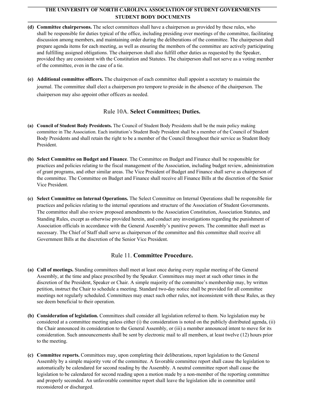- **(d) Committee chairpersons.** The select committees shall have a chairperson as provided by these rules, who shall be responsible for duties typical of the office, including presiding over meetings of the committee, facilitating discussion among members, and maintaining order during the deliberations of the committee. The chairperson shall prepare agenda items for each meeting, as well as ensuring the members of the committee are actively participating and fulfilling assigned obligations. The chairperson shall also fulfill other duties as requested by the Speaker, provided they are consistent with the Constitution and Statutes. The chairperson shall not serve as a voting member of the committee, even in the case of a tie.
- **(e) Additional committee officers.** The chairperson of each committee shall appoint a secretary to maintain the journal. The committee shall elect a chairperson pro tempore to preside in the absence of the chairperson. The chairperson may also appoint other officers as needed.

# Rule 10A. **Select Committees; Duties.**

- **(a) Council of Student Body Presidents.** The Council of Student Body Presidents shall be the main policy making committee in The Association. Each institution's Student Body President shall be a member of the Council of Student Body Presidents and shall retain the right to be a member of the Council throughout their service as Student Body President.
- **(b) Select Committee on Budget and Finance**. The Committee on Budget and Finance shall be responsible for practices and policies relating to the fiscal management of the Association, including budget review, administration of grant programs, and other similar areas. The Vice President of Budget and Finance shall serve as chairperson of the committee. The Committee on Budget and Finance shall receive all Finance Bills at the discretion of the Senior Vice President.
- **(c) Select Committee on Internal Operations.** The Select Committee on Internal Operations shall be responsible for practices and policies relating to the internal operations and structure of the Association of Student Governments. The committee shall also review proposed amendments to the Association Constitution, Association Statutes, and Standing Rules, except as otherwise provided herein, and conduct any investigations regarding the punishment of Association officials in accordance with the General Assembly's punitive powers. The committee shall meet as necessary. The Chief of Staff shall serve as chairperson of the committee and this committee shall receive all Government Bills at the discretion of the Senior Vice President.

# Rule 11. **Committee Procedure.**

- **(a) Call of meetings.** Standing committees shall meet at least once during every regular meeting of the General Assembly, at the time and place prescribed by the Speaker. Committees may meet at such other times in the discretion of the President, Speaker or Chair. A simple majority of the committee's membership may, by written petition, instruct the Chair to schedule a meeting. Standard two-day notice shall be provided for all committee meetings not regularly scheduled. Committees may enact such other rules, not inconsistent with these Rules, as they see deem beneficial to their operation.
- **(b) Consideration of legislation.** Committees shall consider all legislation referred to them. No legislation may be considered at a committee meeting unless either (i) the consideration is noted on the publicly distributed agenda, (ii) the Chair announced its consideration to the General Assembly, or (iii) a member announced intent to move for its consideration. Such announcements shall be sent by electronic mail to all members, at least twelve (12) hours prior to the meeting.
- **(c) Committee reports.** Committees may, upon completing their deliberations, report legislation to the General Assembly by a simple majority vote of the committee. A favorable committee report shall cause the legislation to automatically be calendared for second reading by the Assembly. A neutral committee report shall cause the legislation to be calendared for second reading upon a motion made by a non-member of the reporting committee and properly seconded. An unfavorable committee report shall leave the legislation idle in committee until reconsidered or discharged.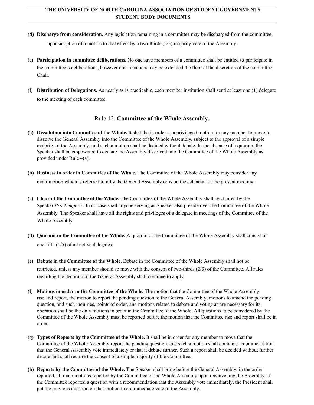- **(d) Discharge from consideration.** Any legislation remaining in a committee may be discharged from the committee, upon adoption of a motion to that effect by a two-thirds (2/3) majority vote of the Assembly.
- **(e) Participation in committee deliberations.** No one save members of a committee shall be entitled to participate in the committee's deliberations, however non-members may be extended the floor at the discretion of the committee Chair.
- **(f) Distribution of Delegations.** As nearly as is practicable, each member institution shall send at least one (1) delegate to the meeting of each committee.

# Rule 12. **Committee of the Whole Assembly.**

- **(a) Dissolution into Committee of the Whole.** It shall be in order as a privileged motion for any member to move to dissolve the General Assembly into the Committee of the Whole Assembly, subject to the approval of a simple majority of the Assembly, and such a motion shall be decided without debate. In the absence of a quorum, the Speaker shall be empowered to declare the Assembly dissolved into the Committee of the Whole Assembly as provided under Rule 4(a).
- **(b) Business in order in Committee of the Whole.** The Committee of the Whole Assembly may consider any main motion which is referred to it by the General Assembly or is on the calendar for the present meeting.
- **(c) Chair of the Committee of the Whole.** The Committee of the Whole Assembly shall be chaired by the Speaker *Pro Tempore* . In no case shall anyone serving as Speaker also preside over the Committee of the Whole Assembly. The Speaker shall have all the rights and privileges of a delegate in meetings of the Committee of the Whole Assembly.
- **(d) Quorum in the Committee of the Whole.** A quorum of the Committee of the Whole Assembly shall consist of one-fifth (1/5) of all active delegates.
- **(e) Debate in the Committee of the Whole.** Debate in the Committee of the Whole Assembly shall not be restricted, unless any member should so move with the consent of two-thirds (2/3) of the Committee. All rules regarding the decorum of the General Assembly shall continue to apply.
- **(f) Motions in order in the Committee of the Whole.** The motion that the Committee of the Whole Assembly rise and report, the motion to report the pending question to the General Assembly, motions to amend the pending question, and such inquiries, points of order, and motions related to debate and voting as are necessary for its operation shall be the only motions in order in the Committee of the Whole. All questions to be considered by the Committee of the Whole Assembly must be reported before the motion that the Committee rise and report shall be in order.
- **(g) Types of Reports by the Committee of the Whole.** It shall be in order for any member to move that the Committee of the Whole Assembly report the pending question, and such a motion shall contain a recommendation that the General Assembly vote immediately or that it debate further. Such a report shall be decided without further debate and shall require the consent of a simple majority of the Committee.
- **(h) Reports by the Committee of the Whole.** The Speaker shall bring before the General Assembly, in the order reported, all main motions reported by the Committee of the Whole Assembly upon reconvening the Assembly. If the Committee reported a question with a recommendation that the Assembly vote immediately, the President shall put the previous question on that motion to an immediate vote of the Assembly.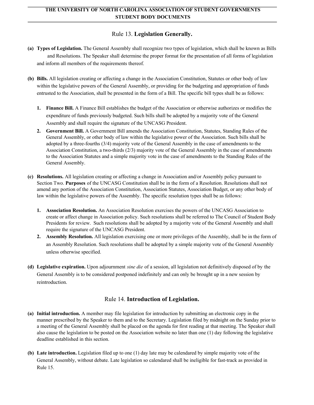# Rule 13. **Legislation Generally.**

- **(a) Types of Legislation.** The General Assembly shall recognize two types of legislation, which shall be known as Bills and Resolutions. The Speaker shall determine the proper format for the presentation of all forms of legislation and inform all members of the requirements thereof.
- **(b) Bills.** All legislation creating or affecting a change in the Association Constitution, Statutes or other body of law within the legislative powers of the General Assembly, or providing for the budgeting and appropriation of funds entrusted to the Association, shall be presented in the form of a Bill. The specific bill types shall be as follows:
	- **1. Finance Bill.** A Finance Bill establishes the budget of the Association or otherwise authorizes or modifies the expenditure of funds previously budgeted. Such bills shall be adopted by a majority vote of the General Assembly and shall require the signature of the UNCASG President.
	- **2. Government Bill.** A Government Bill amends the Association Constitution, Statutes, Standing Rules of the General Assembly, or other body of law within the legislative power of the Association. Such bills shall be adopted by a three-fourths (3/4) majority vote of the General Assembly in the case of amendments to the Association Constitution, a two-thirds (2/3) majority vote of the General Assembly in the case of amendments to the Association Statutes and a simple majority vote in the case of amendments to the Standing Rules of the General Assembly.
- **(c) Resolutions.** All legislation creating or affecting a change in Association and/or Assembly policy pursuant to Section Two. **Purposes** of the UNCASG Constitution shall be in the form of a Resolution. Resolutions shall not amend any portion of the Association Constitution, Association Statutes, Association Budget, or any other body of law within the legislative powers of the Assembly. The specific resolution types shall be as follows:
	- **1. Association Resolution.** An Association Resolution exercises the powers of the UNCASG Association to create or affect change in Association policy. Such resolutions shall be referred to The Council of Student Body Presidents for review. Such resolutions shall be adopted by a majority vote of the General Assembly and shall require the signature of the UNCASG President.
	- **2. Assembly Resolution.** All legislation exercising one or more privileges of the Assembly, shall be in the form of an Assembly Resolution. Such resolutions shall be adopted by a simple majority vote of the General Assembly unless otherwise specified.
- **(d) Legislative expiration.** Upon adjournment *sine die* of a session, all legislation not definitively disposed of by the General Assembly is to be considered postponed indefinitely and can only be brought up in a new session by reintroduction.

# Rule 14. **Introduction of Legislation.**

- **(a) Initial introduction.** A member may file legislation for introduction by submitting an electronic copy in the manner prescribed by the Speaker to them and to the Secretary. Legislation filed by midnight on the Sunday prior to a meeting of the General Assembly shall be placed on the agenda for first reading at that meeting. The Speaker shall also cause the legislation to be posted on the Association website no later than one (1) day following the legislative deadline established in this section.
- **(b) Late introduction.** Legislation filed up to one (1) day late may be calendared by simple majority vote of the General Assembly, without debate. Late legislation so calendared shall be ineligible for fast-track as provided in Rule 15.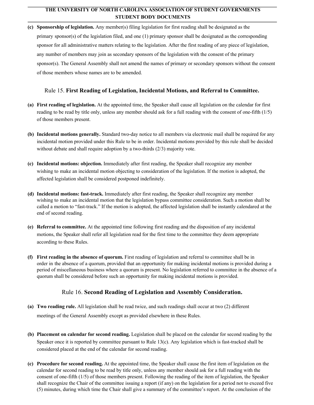**(c) Sponsorship of legislation.** Any member(s) filing legislation for first reading shall be designated as the primary sponsor(s) of the legislation filed, and one (1) primary sponsor shall be designated as the corresponding sponsor for all administrative matters relating to the legislation. After the first reading of any piece of legislation, any number of members may join as secondary sponsors of the legislation with the consent of the primary sponsor(s). The General Assembly shall not amend the names of primary or secondary sponsors without the consent of those members whose names are to be amended.

# Rule 15. **First Reading of Legislation, Incidental Motions, and Referral to Committee.**

- **(a) First reading of legislation.** At the appointed time, the Speaker shall cause all legislation on the calendar for first reading to be read by title only, unless any member should ask for a full reading with the consent of one-fifth (1/5) of those members present.
- **(b) Incidental motions generally.** Standard two-day notice to all members via electronic mail shall be required for any incidental motion provided under this Rule to be in order. Incidental motions provided by this rule shall be decided without debate and shall require adoption by a two-thirds (2/3) majority vote.
- **(c) Incidental motions: objection.** Immediately after first reading, the Speaker shall recognize any member wishing to make an incidental motion objecting to consideration of the legislation. If the motion is adopted, the affected legislation shall be considered postponed indefinitely.
- **(d) Incidental motions: fast-track.** Immediately after first reading, the Speaker shall recognize any member wishing to make an incidental motion that the legislation bypass committee consideration. Such a motion shall be called a motion to "fast-track." If the motion is adopted, the affected legislation shall be instantly calendared at the end of second reading.
- **(e) Referral to committee.** At the appointed time following first reading and the disposition of any incidental motions, the Speaker shall refer all legislation read for the first time to the committee they deem appropriate according to these Rules.
- **(f) First reading in the absence of quorum.** First reading of legislation and referral to committee shall be in order in the absence of a quorum, provided that an opportunity for making incidental motions is provided during a period of miscellaneous business where a quorum is present. No legislation referred to committee in the absence of a quorum shall be considered before such an opportunity for making incidental motions is provided.

# Rule 16. **Second Reading of Legislation and Assembly Consideration.**

- **(a) Two reading rule.** All legislation shall be read twice, and such readings shall occur at two (2) different meetings of the General Assembly except as provided elsewhere in these Rules.
- **(b) Placement on calendar for second reading.** Legislation shall be placed on the calendar for second reading by the Speaker once it is reported by committee pursuant to Rule 13(c). Any legislation which is fast-tracked shall be considered placed at the end of the calendar for second reading.
- **(c) Procedure for second reading.** At the appointed time, the Speaker shall cause the first item of legislation on the calendar for second reading to be read by title only, unless any member should ask for a full reading with the consent of one-fifth (1/5) of those members present. Following the reading of the item of legislation, the Speaker shall recognize the Chair of the committee issuing a report (if any) on the legislation for a period not to exceed five (5) minutes, during which time the Chair shall give a summary of the committee's report. At the conclusion of the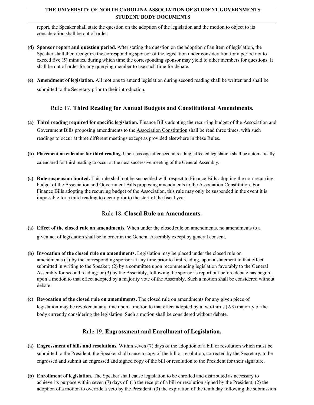report, the Speaker shall state the question on the adoption of the legislation and the motion to object to its consideration shall be out of order.

- **(d) Sponsor report and question period.** After stating the question on the adoption of an item of legislation, the Speaker shall then recognize the corresponding sponsor of the legislation under consideration for a period not to exceed five (5) minutes, during which time the corresponding sponsor may yield to other members for questions. It shall be out of order for any querying member to use such time for debate.
- **(e) Amendment of legislation.** All motions to amend legislation during second reading shall be written and shall be submitted to the Secretary prior to their introduction.

# Rule 17. **Third Reading for Annual Budgets and Constitutional Amendments.**

- **(a) Third reading required for specific legislation.** Finance Bills adopting the recurring budget of the Association and Government Bills proposing amendments to the Association Constitution shall be read three times, with such readings to occur at three different meetings except as provided elsewhere in these Rules.
- **(b) Placement on calendar for third reading.** Upon passage after second reading, affected legislation shall be automatically calendared for third reading to occur at the next successive meeting of the General Assembly.
- **(c) Rule suspension limited.** This rule shall not be suspended with respect to Finance Bills adopting the non-recurring budget of the Association and Government Bills proposing amendments to the Association Constitution. For Finance Bills adopting the recurring budget of the Association, this rule may only be suspended in the event it is impossible for a third reading to occur prior to the start of the fiscal year.

# Rule 18. **Closed Rule on Amendments.**

- **(a) Effect of the closed rule on amendments.** When under the closed rule on amendments, no amendments to a given act of legislation shall be in order in the General Assembly except by general consent.
- **(b) Invocation of the closed rule on amendments.** Legislation may be placed under the closed rule on amendments (1) by the corresponding sponsor at any time prior to first reading, upon a statement to that effect submitted in writing to the Speaker; (2) by a committee upon recommending legislation favorably to the General Assembly for second reading; or (3) by the Assembly, following the sponsor's report but before debate has begun, upon a motion to that effect adopted by a majority vote of the Assembly. Such a motion shall be considered without debate.
- **(c) Revocation of the closed rule on amendments.** The closed rule on amendments for any given piece of legislation may be revoked at any time upon a motion to that effect adopted by a two-thirds (2/3) majority of the body currently considering the legislation. Such a motion shall be considered without debate.

# Rule 19. **Engrossment and Enrollment of Legislation.**

- **(a) Engrossment of bills and resolutions.** Within seven (7) days of the adoption of a bill or resolution which must be submitted to the President, the Speaker shall cause a copy of the bill or resolution, corrected by the Secretary, to be engrossed and submit an engrossed and signed copy of the bill or resolution to the President for their signature.
- **(b) Enrollment of legislation.** The Speaker shall cause legislation to be enrolled and distributed as necessary to achieve its purpose within seven (7) days of: (1) the receipt of a bill or resolution signed by the President; (2) the adoption of a motion to override a veto by the President; (3) the expiration of the tenth day following the submission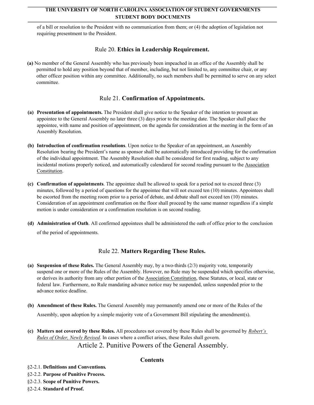of a bill or resolution to the President with no communication from them; or (4) the adoption of legislation not requiring presentment to the President.

# Rule 20. **Ethics in Leadership Requirement.**

**(a)** No member of the General Assembly who has previously been impeached in an office of the Assembly shall be permitted to hold any position beyond that of member, including, but not limited to, any committee chair, or any other officer position within any committee. Additionally, no such members shall be permitted to serve on any select committee.

# Rule 21. **Confirmation of Appointments.**

- **(a) Presentation of appointments.** The President shall give notice to the Speaker of the intention to present an appointee to the General Assembly no later three (3) days prior to the meeting date. The Speaker shall place the appointee, with name and position of appointment, on the agenda for consideration at the meeting in the form of an Assembly Resolution.
- **(b) Introduction of confirmation resolutions**. Upon notice to the Speaker of an appointment, an Assembly Resolution bearing the President's name as sponsor shall be automatically introduced providing for the confirmation of the individual appointment. The Assembly Resolution shall be considered for first reading, subject to any incidental motions properly noticed, and automatically calendared for second reading pursuant to the Association Constitution.
- **(c) Confirmation of appointments**. The appointee shall be allowed to speak for a period not to exceed three (3) minutes, followed by a period of questions for the appointee that will not exceed ten (10) minutes. Appointees shall be escorted from the meeting room prior to a period of debate, and debate shall not exceed ten (10) minutes. Consideration of an appointment confirmation on the floor shall proceed by the same manner regardless if a simple motion is under consideration or a confirmation resolution is on second reading.
- **(d) Administration of Oath**. All confirmed appointees shall be administered the oath of office prior to the conclusion of the period of appointments.

# Rule 22. **Matters Regarding These Rules.**

- **(a) Suspension of these Rules.** The General Assembly may, by a two-thirds (2/3) majority vote, temporarily suspend one or more of the Rules of the Assembly. However, no Rule may be suspended which specifies otherwise, or derives its authority from any other portion of the Association Constitution, these Statutes, or local, state or federal law. Furthermore, no Rule mandating advance notice may be suspended, unless suspended prior to the advance notice deadline.
- **(b) Amendment of these Rules.** The General Assembly may permanently amend one or more of the Rules of the Assembly, upon adoption by a simple majority vote of a Government Bill stipulating the amendment(s).
- **(c) Matters not covered by these Rules.** All procedures not covered by these Rules shall be governed by *Robert's Rules of Order, Newly Revised*. In cases where a conflict arises, these Rules shall govern. Article 2. Punitive Powers of the General Assembly.

# **Contents**

#### §2-2.1. **Definitions and Conventions***.*

- §2-2.2. **Purpose of Punitive Process.**
- §2-2.3. **Scope of Punitive Powers.**

#### §2-2.4. **Standard of Proof.**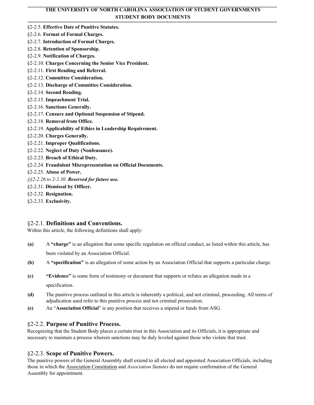- §2-2.5. **Effective Date of Punitive Statutes.**
- §2-2.6. **Format of Formal Charges.**
- §2-2.7. **Introduction of Formal Charges.**
- §2-2.8. **Retention of Sponsorship.**
- §2-2.9. **Notification of Charges.**
- §2-2.10. **Charges Concerning the Senior Vice President.**
- §2-2.11. **First Reading and Referral.**
- §2-2.12. **Committee Consideration.**
- §2-2.13. **Discharge of Committee Consideration.**
- §2-2.14. **Second Reading.**
- §2-2.15. **Impeachment Trial.**
- §2-2.16. **Sanctions Generally.**
- §2-2.17. **Censure and Optional Suspension of Stipend.**
- §2-2.18. **Removal from Office.**
- §2-2.19. **Applicability of Ethics in Leadership Requirement.**
- §2-2.20. **Charges Generally.**
- §2-2.21. **Improper Qualifications.**
- §2-2.22. **Neglect of Duty (Nonfeasance).**
- §2-2.23. **Breach of Ethical Duty.**
- §2-2.24. **Fraudulent Misrepresentation on Official Documents.**
- §2-2.25. **Abuse of Power.**
- *§§2-2.26 to 2-2.30. Reserved for future use.*
- §2-2.31. **Dismissal by Officer.**
- §2-2.32. **Resignation.**
- §2-2.33. **Exclusivity.**

# §2-2.1. **Definitions and Conventions.**

Within this article, the following definitions shall apply:

- **(a)** A **"charge"** is an allegation that some specific regulation on official conduct, as listed within this article, has been violated by an Association Official.
- **(b)** A **"specification"** is an allegation of some action by an Association Official that supports a particular charge.
- **(c) "Evidence"** is some form of testimony or document that supports or refutes an allegation made in a specification.
- **(d)** The punitive process outlined in this article is inherently a political, and not criminal, proceeding. All terms of adjudication used refer to this punitive process and not criminal prosecution.
- **(e)** An "**Association Official**" is any position that receives a stipend or funds from ASG.

# §2-2.2. **Purpose of Punitive Process.**

Recognizing that the Student Body places a certain trust in this Association and its Officials, it is appropriate and necessary to maintain a process wherein sanctions may be duly leveled against those who violate that trust.

# §2-2.3. **Scope of Punitive Powers.**

The punitive powers of the General Assembly shall extend to all elected and appointed Association Officials, including those in which the Association Constitution and *Association Statutes* do not require confirmation of the General Assembly for appointment.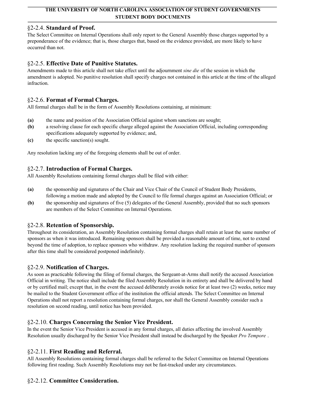# §2-2.4. **Standard of Proof.**

The Select Committee on Internal Operations shall only report to the General Assembly those charges supported by a preponderance of the evidence; that is, those charges that, based on the evidence provided, are more likely to have occurred than not.

# §2-2.5. **Effective Date of Punitive Statutes.**

Amendments made to this article shall not take effect until the adjournment *sine die* of the session in which the amendment is adopted. No punitive resolution shall specify charges not contained in this article at the time of the alleged infraction.

# §2-2.6. **Format of Formal Charges.**

All formal charges shall be in the form of Assembly Resolutions containing, at minimum:

- **(a)** the name and position of the Association Official against whom sanctions are sought;
- **(b)** a resolving clause for each specific charge alleged against the Association Official, including corresponding specifications adequately supported by evidence; and,
- **(c)** the specific sanction(s) sought.

Any resolution lacking any of the foregoing elements shall be out of order.

# §2-2.7. **Introduction of Formal Charges.**

All Assembly Resolutions containing formal charges shall be filed with either:

- **(a)** the sponsorship and signatures of the Chair and Vice Chair of the Council of Student Body Presidents, following a motion made and adopted by the Council to file formal charges against an Association Official; or
- **(b)** the sponsorship and signatures of five (5) delegates of the General Assembly, provided that no such sponsors are members of the Select Committee on Internal Operations.

# §2-2.8. **Retention of Sponsorship.**

Throughout its consideration, an Assembly Resolution containing formal charges shall retain at least the same number of sponsors as when it was introduced. Remaining sponsors shall be provided a reasonable amount of time, not to extend beyond the time of adoption, to replace sponsors who withdraw. Any resolution lacking the required number of sponsors after this time shall be considered postponed indefinitely.

# §2-2.9. **Notification of Charges.**

As soon as practicable following the filing of formal charges, the Sergeant-at-Arms shall notify the accused Association Official in writing. The notice shall include the filed Assembly Resolution in its entirety and shall be delivered by hand or by certified mail; except that, in the event the accused deliberately avoids notice for at least two (2) weeks, notice may be mailed to the Student Government office of the institution the official attends. The Select Committee on Internal Operations shall not report a resolution containing formal charges, nor shall the General Assembly consider such a resolution on second reading, until notice has been provided.

# §2-2.10. **Charges Concerning the Senior Vice President.**

In the event the Senior Vice President is accused in any formal charges, all duties affecting the involved Assembly Resolution usually discharged by the Senior Vice President shall instead be discharged by the Speaker *Pro Tempore* .

# §2-2.11. **First Reading and Referral.**

All Assembly Resolutions containing formal charges shall be referred to the Select Committee on Internal Operations following first reading. Such Assembly Resolutions may not be fast-tracked under any circumstances.

# §2-2.12. **Committee Consideration.**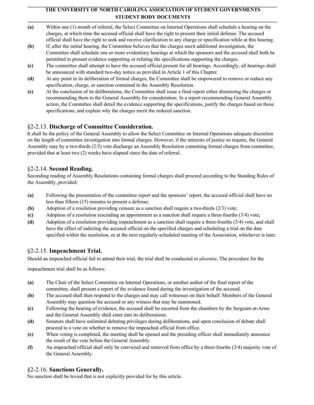- **(a)** Within one (1) month of referral, the Select Committee on Internal Operations shall schedule a hearing on the charges, at which time the accused official shall have the right to present their initial defense. The accused official shall have the right to seek and receive clarification to any charge or specification while at this hearing.
- **(b)** If, after the initial hearing, the Committee believes that the charges merit additional investigation, the Committee shall schedule one or more evidentiary hearings at which the sponsors and the accused shall both be permitted to present evidence supporting or refuting the specifications supporting the charges.
- **(c)** The committee shall attempt to have the accused official present for all hearings. Accordingly, all hearings shall be announced with standard two-day notice as provided in Article 1 of this Chapter.
- **(d)** At any point in its deliberation of formal charges, the Committee shall be empowered to remove or reduce any specification, charge, or sanction contained in the Assembly Resolution.
- **(e)** At the conclusion of its deliberations, the Committee shall issue a final report either dismissing the charges or recommending them to the General Assembly for consideration. In a report recommending General Assembly action, the Committee shall detail the evidence supporting the specifications, justify the charges based on those specifications, and explain why the charges merit the ordered sanction.

# §2-2.13. **Discharge of Committee Consideration.**

It shall be the policy of the General Assembly to allow the Select Committee on Internal Operations adequate discretion on the length of committee investigation into formal charges. However, if the interests of justice so require, the General Assembly may by a two-thirds (2/3) vote discharge an Assembly Resolution containing formal charges from committee, provided that at least two (2) weeks have elapsed since the date of referral.

# §2-2.14. **Second Reading.**

Seconding reading of Assembly Resolutions containing formal charges shall proceed according to the Standing Rules of the Assembly, provided:

- **(a)** Following the presentation of the committee report and the sponsors' report, the accused official shall have no less than fifteen (15) minutes to present a defense;
- **(b)** Adoption of a resolution providing censure as a sanction shall require a two-thirds (2/3) vote;
- **(c)** Adoption of a resolution rescinding an appointment as a sanction shall require a three-fourths (3/4) vote;
- **(d)** Adoption of a resolution providing impeachment as a sanction shall require a three-fourths (3/4) vote, and shall have the effect of indicting the accused official on the specified charges and scheduling a trial on the date specified within the resolution, or at the next regularly-scheduled meeting of the Association, whichever is later.

# §2-2.15. **Impeachment Trial.**

Should an impeached official fail to attend their trial, the trial shall be conducted *in absentia*. The procedure for the

impeachment trial shall be as follows:

- **(a)** The Chair of the Select Committee on Internal Operations, or another author of the final report of the committee, shall present a report of the evidence found during the investigation of the accused.
- **(b)** The accused shall then respond to the charges and may call witnesses on their behalf. Members of the General Assembly may question the accused or any witness that may be summoned.
- **(c)** Following the hearing of evidence, the accused shall be escorted from the chambers by the Sergeant-at-Arms and the General Assembly shall enter into its deliberations.
- **(d)** Senators shall have unlimited debating privileges during deliberations, and upon conclusion of debate shall proceed to a vote on whether to remove the impeached official from office.
- **(e)** When voting is completed, the meeting shall be opened and the presiding officer shall immediately announce the result of the vote before the General Assembly.
- **(f)** An impeached official shall only be convicted and removed from office by a three-fourths (3/4) majority vote of the General Assembly.

# §2-2.16. **Sanctions Generally.**

No sanction shall be levied that is not explicitly provided for by this article.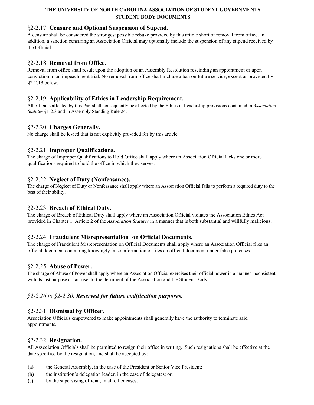# §2-2.17. **Censure and Optional Suspension of Stipend.**

A censure shall be considered the strongest possible rebuke provided by this article short of removal from office. In addition, a sanction censuring an Association Official may optionally include the suspension of any stipend received by the Official.

# §2-2.18. **Removal from Office.**

Removal from office shall result upon the adoption of an Assembly Resolution rescinding an appointment or upon conviction in an impeachment trial. No removal from office shall include a ban on future service, except as provided by §2-2.19 below.

# §2-2.19. **Applicability of Ethics in Leadership Requirement.**

All officials affected by this Part shall consequently be affected by the Ethics in Leadership provisions contained in *Association Statutes* §1-2.3 and in Assembly Standing Rule 24.

### §2-2.20. **Charges Generally.**

No charge shall be levied that is not explicitly provided for by this article.

# §2-2.21. **Improper Qualifications.**

The charge of Improper Qualifications to Hold Office shall apply where an Association Official lacks one or more qualifications required to hold the office in which they serves.

# §2-2.22. **Neglect of Duty (Nonfeasance).**

The charge of Neglect of Duty or Nonfeasance shall apply where an Association Official fails to perform a required duty to the best of their ability.

# §2-2.23. **Breach of Ethical Duty.**

The charge of Breach of Ethical Duty shall apply where an Association Official violates the Association Ethics Act provided in Chapter 1, Article 2 of the *Association Statutes* in a manner that is both substantial and willfully malicious.

#### §2-2.24. **Fraudulent Misrepresentation on Official Documents.**

The charge of Fraudulent Misrepresentation on Official Documents shall apply where an Association Official files an official document containing knowingly false information or files an official document under false pretenses.

#### §2-2.25. **Abuse of Power.**

The charge of Abuse of Power shall apply where an Association Official exercises their official power in a manner inconsistent with its just purpose or fair use, to the detriment of the Association and the Student Body.

# *§2-2.26 to §2-2.30. Reserved for future codification purposes.*

#### §2-2.31. **Dismissal by Officer.**

Association Officials empowered to make appointments shall generally have the authority to terminate said appointments.

#### §2-2.32. **Resignation.**

All Association Officials shall be permitted to resign their office in writing. Such resignations shall be effective at the date specified by the resignation, and shall be accepted by:

- **(a)** the General Assembly, in the case of the President or Senior Vice President;
- **(b)** the institution's delegation leader, in the case of delegates; or,
- **(c)** by the supervising official, in all other cases.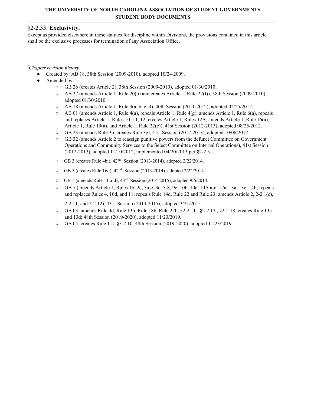# §2-2.33. **Exclusivity.**

Except as provided elsewhere in these statutes for discipline within Divisions, the provisions contained in this article shall be the exclusive processes for termination of any Association Office.

#### *1 Chapter revision history*

- Created by: AB 18, 38th Session (2009-2010), adopted 10/24/2009.
	- Amended by:
		- GB 26 (creates Article 2), 38th Session (2009-2010), adopted 01/30/2010;
		- AB 27 (amends Article 1, Rule 20(b) and creates Article 1, Rule 22(f)), 38th Session (2009-2010), adopted 01/30/2010.
		- $\circ$  AB 18 (amends Article 1, Rule 3(a, b, c, d), 40th Session (2011-2012), adopted 02/25/2012.
		- $\circ$  AB 01 (amends Article 1, Rule 4(a), repeals Article 1, Rule 4(g), amends Article 1, Rule 6(a), repeals and replaces Article 1, Rules 10, 11, 12, creates Article 1, Rules 12A, amends Article 1, Rule 16(a), Article 1, Rule 19(a), and Article 1, Rule 22(c)), 41st Session (2012-2013), adopted 08/25/2012.
		- GB 23 (amends Rule 3b, creates Rule 3e), 41st Session (2012-2013), adopted 10/06/2012.
		- $\circ$  GB 32 (amends Article 2 to reassign punitive powers from the defunct Committee on Government Operations and Community Services to the Select Committee on Internal Operations), 41st Session (2012-2013), adopted 11/10/2012, implemented 04/20/2013 per §2-2.5.
		- GB 3 (creates Rule 4bi), 42nd Session (2013-2014), adopted 2/22/2014.
		- GB 5 (creates Rule 16d), 42nd Session (2013-2014), adopted 2/22/2014.
		- GB 1 (amends Rule 11 a-d), 43rd Session (2014-2015), adopted 9/6/2014.
		- GB 7 (amends Article 1, Rules 1b, 2c, 3a-c, 3e, 5-8, 9c, 10b, 10e, 10A a-c, 12a, 13a, 13c, 14b; repeals and replaces Rules 4, 10d, and 11; repeals Rule 14d, Rule 22 and Rule 23; amends Article 2, 2-2.1(e),

2-2.11, and 2-2.12), 43rd Session (2014-2015), adopted 3/21/2015.

- GB 03: amends Rule 4d, Rule 13b, Rule 18b, Rule 22b, §2-2.11., §2-2.12., §2-2.18; creates Rule 13c and 13d; 48th Session (2019-2020), adopted 11/23/2019.
- GB 04: creates Rule 11f, §3-2.10; 48th Session (2019-2020), adopted 11/23/2019.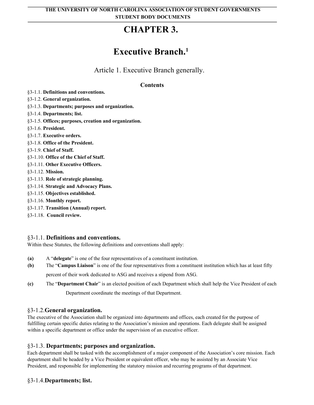# **CHAPTER 3.**

# **Executive Branch.1**

Article 1. Executive Branch generally.

# **Contents**

- §3-1.1. **Definitions and conventions.**
- §3-1.2. **General organization.**
- §3-1.3. **Departments; purposes and organization.**
- §3-1.4. **Departments; list.**
- §3-1.5. **Offices; purposes, creation and organization.**
- §3-1.6. **President.**
- §3-1.7. **Executive orders.**
- §3-1.8. **Office of the President.**
- §3-1.9. **Chief of Staff.**
- §3-1.10. **Office of the Chief of Staff.**
- §3-1.11. **Other Executive Officers.**
- §3-1.12. **Mission.**
- §3-1.13. **Role of strategic planning.**
- §3-1.14. **Strategic and Advocacy Plans.**
- §3-1.15. **Objectives established.**
- §3-1.16. **Monthly report.**
- §3-1.17. **Transition (Annual) report.**
- §3-1.18. **Council review.**

# §3-1.1. **Definitions and conventions.**

Within these Statutes, the following definitions and conventions shall apply:

- **(a)** A "**delegate**" is one of the four representatives of a constituent institution.
- **(b)** The "**Campus Liaison**" is one of the four representatives from a constituent institution which has at least fifty percent of their work dedicated to ASG and receives a stipend from ASG.
- **(c)** The "**Department Chair**" is an elected position of each Department which shall help the Vice President of each Department coordinate the meetings of that Department.

# §3-1.2.**General organization.**

The executive of the Association shall be organized into departments and offices, each created for the purpose of fulfilling certain specific duties relating to the Association's mission and operations. Each delegate shall be assigned within a specific department or office under the supervision of an executive officer.

# §3-1.3. **Departments; purposes and organization.**

Each department shall be tasked with the accomplishment of a major component of the Association's core mission. Each department shall be headed by a Vice President or equivalent officer, who may be assisted by an Associate Vice President, and responsible for implementing the statutory mission and recurring programs of that department.

# §3-1.4.**Departments; list.**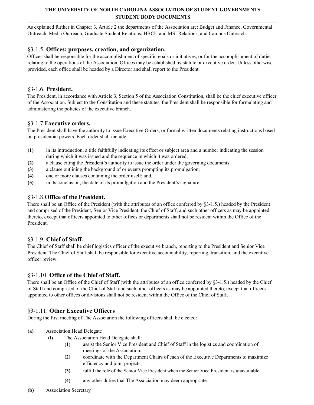As explained further in Chapter 3, Article 2 the departments of the Association are: Budget and Finance, Governmental Outreach, Media Outreach, Graduate Student Relations, HBCU and MSI Relations, and Campus Outreach.

# §3-1.5. **Offices; purposes, creation, and organization.**

Offices shall be responsible for the accomplishment of specific goals or initiatives, or for the accomplishment of duties relating to the operations of the Association. Offices may be established by statute or executive order. Unless otherwise provided, each office shall be headed by a Director and shall report to the President.

# §3-1.6. **President.**

The President, in accordance with Article 3, Section 5 of the Association Constitution, shall be the chief executive officer of the Association. Subject to the Constitution and these statutes, the President shall be responsible for formulating and administering the policies of the executive branch.

# §3-1.7.**Executive orders.**

The President shall have the authority to issue Executive Orders, or formal written documents relating instructions based on presidential powers. Each order shall include:

- **(1)** in its introduction, a title faithfully indicating its effect or subject area and a number indicating the session during which it was issued and the sequence in which it was ordered;
- **(2)** a clause citing the President's authority to issue the order under the governing documents;
- **(3)** a clause outlining the background of or events prompting its promulgation;
- **(4)** one or more clauses containing the order itself; and,
- **(5)** in its conclusion, the date of its promulgation and the President's signature.

# §3-1.8.**Office of the President.**

There shall be an Office of the President (with the attributes of an office conferred by §3-1.5.) headed by the President and comprised of the President, Senior Vice President, the Chief of Staff, and such other officers as may be appointed thereto, except that officers appointed to other offices or departments shall not be resident within the Office of the President.

# §3-1.9. **Chief of Staff.**

The Chief of Staff shall be chief logistics officer of the executive branch, reporting to the President and Senior Vice President. The Chief of Staff shall be responsible for executive accountability, reporting, transition, and the executive officer review.

# §3-1.10. **Office of the Chief of Staff.**

There shall be an Office of the Chief of Staff (with the attributes of an office conferred by §3-1.5.) headed by the Chief of Staff and comprised of the Chief of Staff and such other officers as may be appointed thereto, except that officers appointed to other offices or divisions shall not be resident within the Office of the Chief of Staff.

# §3-1.11. **Other Executive Officers**

During the first meeting of The Association the following officers shall be elected:

#### **(a)** Association Head Delegate

- **(i)** The Association Head Delegate shall:
	- **(1)** assist the Senior Vice President and Chief of Staff in the logistics and coordination of meetings of the Association;
	- **(2)** coordinate with the Department Chairs of each of the Executive Departments to maximize efficiency and joint projects;
	- **(3)** fulfill the role of the Senior Vice President when the Senior Vice President is unavailable
	- **(4)** any other duties that The Association may deem appropriate.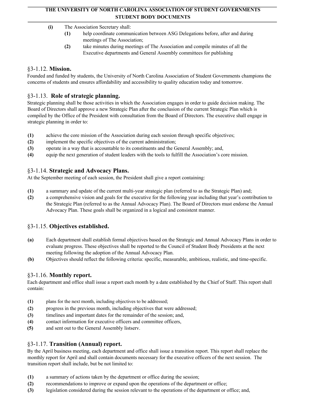- **(i)** The Association Secretary shall:
	- **(1)** help coordinate communication between ASG Delegations before, after and during meetings of The Association;
	- **(2)** take minutes during meetings of The Association and compile minutes of all the Executive departments and General Assembly committees for publishing

# §3-1.12. **Mission.**

Founded and funded by students, the University of North Carolina Association of Student Governments champions the concerns of students and ensures affordability and accessibility to quality education today and tomorrow.

# §3-1.13. **Role of strategic planning.**

Strategic planning shall be those activities in which the Association engages in order to guide decision making. The Board of Directors shall approve a new Strategic Plan after the conclusion of the current Strategic Plan which is compiled by the Office of the President with consultation from the Board of Directors. The executive shall engage in strategic planning in order to:

- **(1)** achieve the core mission of the Association during each session through specific objectives;
- **(2)** implement the specific objectives of the current administration;
- **(3)** operate in a way that is accountable to its constituents and the General Assembly; and,
- **(4)** equip the next generation of student leaders with the tools to fulfill the Association's core mission.

# §3-1.14. **Strategic and Advocacy Plans.**

At the September meeting of each session, the President shall give a report containing:

- **(1)** a summary and update of the current multi-year strategic plan (referred to as the Strategic Plan) and;
- **(2)** a comprehensive vision and goals for the executive for the following year including that year's contribution to the Strategic Plan (referred to as the Annual Advocacy Plan). The Board of Directors must endorse the Annual Advocacy Plan. These goals shall be organized in a logical and consistent manner.

# §3-1.15. **Objectives established.**

- **(a)** Each department shall establish formal objectives based on the Strategic and Annual Advocacy Plans in order to evaluate progress. These objectives shall be reported to the Council of Student Body Presidents at the next meeting following the adoption of the Annual Advocacy Plan.
- **(b)** Objectives should reflect the following criteria: specific, measurable, ambitious, realistic, and time-specific.

# §3-1.16. **Monthly report.**

Each department and office shall issue a report each month by a date established by the Chief of Staff. This report shall contain:

- **(1)** plans for the next month, including objectives to be addressed;
- **(2)** progress in the previous month, including objectives that were addressed;
- **(3)** timelines and important dates for the remainder of the session; and,
- **(4)** contact information for executive officers and committee officers,
- **(5)** and sent out to the General Assembly listserv.

# §3-1.17. **Transition (Annual) report.**

By the April business meeting, each department and office shall issue a transition report. This report shall replace the monthly report for April and shall contain documents necessary for the executive officers of the next session. The transition report shall include, but be not limited to:

- **(1)** a summary of actions taken by the department or office during the session;
- **(2)** recommendations to improve or expand upon the operations of the department or office;
- **(3)** legislation considered during the session relevant to the operations of the department or office; and,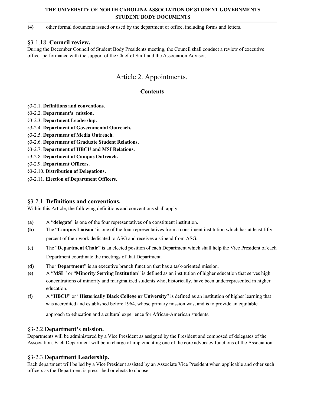**(4)** other formal documents issued or used by the department or office, including forms and letters.

#### §3-1.18. **Council review.**

During the December Council of Student Body Presidents meeting, the Council shall conduct a review of executive officer performance with the support of the Chief of Staff and the Association Advisor.

# Article 2. Appointments.

# **Contents**

- §3-2.1. **Definitions and conventions.**
- §3-2.2. **Department's mission.**
- §3-2.3. **Department Leadership.**
- §3-2.4. **Department of Governmental Outreach.**
- §3-2.5. **Department of Media Outreach.**
- §3-2.6. **Department of Graduate Student Relations.**
- §3-2.7. **Department of HBCU and MSI Relations.**
- §3-2.8. **Department of Campus Outreach.**
- §3-2.9. **Department Officers.**
- §3-2.10. **Distribution of Delegations.**
- §3-2.11. **Election of Department Officers.**

#### §3-2.1. **Definitions and conventions.**

Within this Article, the following definitions and conventions shall apply:

- **(a)** A "**delegate**" is one of the four representatives of a constituent institution.
- **(b)** The "**Campus Liaison**" is one of the four representatives from a constituent institution which has at least fifty percent of their work dedicated to ASG and receives a stipend from ASG.
- **(c)** The "**Department Chair**" is an elected position of each Department which shall help the Vice President of each Department coordinate the meetings of that Department.
- **(d)** The "**Department**" is an executive branch function that has a task-oriented mission.
- **(e)** A "**MSI** " or "**Minority Serving Institution**" is defined as an institution of higher education that serves high concentrations of minority and marginalized students who, historically, have been underrepresented in higher education.
- **(f)** A "**HBCU**" or "**Historically Black College or University**" is defined as an institution of higher learning that was accredited and established before 1964, whose primary mission was, and is to provide an equitable

approach to education and a cultural experience for African-American students.

# §3-2.2.**Department's mission.**

Departments will be administered by a Vice President as assigned by the President and composed of delegates of the Association. Each Department will be in charge of implementing one of the core advocacy functions of the Association.

# §3-2.3.**Department Leadership.**

Each department will be led by a Vice President assisted by an Associate Vice President when applicable and other such officers as the Department is prescribed or elects to choose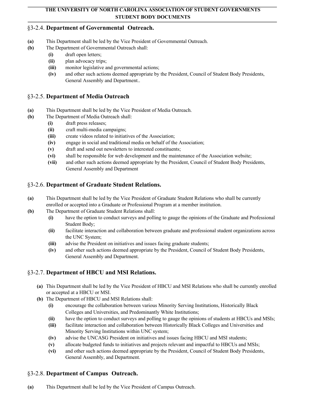# §3-2.4. **Department of Governmental Outreach.**

- **(a)** This Department shall be led by the Vice President of Governmental Outreach.
- **(b)** The Department of Governmental Outreach shall:
	- **(i)** draft open letters;
	- **(ii)** plan advocacy trips;
	- **(iii)** monitor legislative and governmental actions;
	- **(iv)** and other such actions deemed appropriate by the President, Council of Student Body Presidents, General Assembly and Department..

# §3-2.5. **Department of Media Outreach**

- **(a)** This Department shall be led by the Vice President of Media Outreach.
- **(b)** The Department of Media Outreach shall:
	- **(i)** draft press releases;
	- **(ii)** craft multi-media campaigns;
	- **(iii)** create videos related to initiatives of the Association;
	- **(iv)** engage in social and traditional media on behalf of the Association;
	- **(v)** draft and send out newsletters to interested constituents;
	- **(vi)** shall be responsible for web development and the maintenance of the Association website;
	- **(vii)** and other such actions deemed appropriate by the President, Council of Student Body Presidents, General Assembly and Department

# §3-2.6. **Department of Graduate Student Relations.**

- **(a)** This Department shall be led by the Vice President of Graduate Student Relations who shall be currently enrolled or accepted into a Graduate or Professional Program at a member institution.
- **(b)** The Department of Graduate Student Relations shall:
	- **(i)** have the option to conduct surveys and polling to gauge the opinions of the Graduate and Professional Student Body;
	- **(ii)** facilitate interaction and collaboration between graduate and professional student organizations across the UNC System;
	- **(iii)** advise the President on initiatives and issues facing graduate students;
	- **(iv)** and other such actions deemed appropriate by the President, Council of Student Body Presidents, General Assembly and Department.

# §3-2.7. **Department of HBCU and MSI Relations.**

- **(a)** This Department shall be led by the Vice President of HBCU and MSI Relations who shall be currently enrolled or accepted at a HBCU or MSI.
- **(b)** The Department of HBCU and MSI Relations shall:
	- **(i)** encourage the collaboration between various Minority Serving Institutions, Historically Black Colleges and Universities, and Predominantly White Institutions;
	- **(ii)** have the option to conduct surveys and polling to gauge the opinions of students at HBCUs and MSIs;
	- **(iii)** facilitate interaction and collaboration between Historically Black Colleges and Universities and Minority Serving Institutions within UNC system;
	- **(iv)** advise the UNCASG President on initiatives and issues facing HBCU and MSI students;
	- **(v)** allocate budgeted funds to initiatives and projects relevant and impactful to HBCUs and MSIs;
	- **(vi)** and other such actions deemed appropriate by the President, Council of Student Body Presidents, General Assembly, and Department.

# §3-2.8. **Department of Campus Outreach.**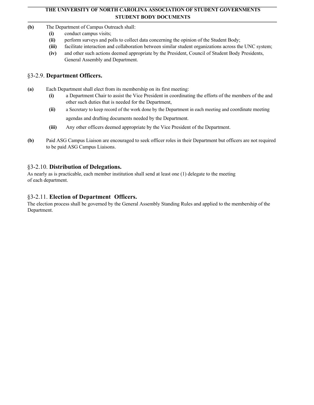- **(b)** The Department of Campus Outreach shall:
	- **(i)** conduct campus visits;
	- **(ii)** perform surveys and polls to collect data concerning the opinion of the Student Body;
	- **(iii)** facilitate interaction and collaboration between similar student organizations across the UNC system;
	- **(iv)** and other such actions deemed appropriate by the President, Council of Student Body Presidents, General Assembly and Department.

# §3-2.9. **Department Officers.**

- **(a)** Each Department shall elect from its membership on its first meeting:
	- **(i)** a Department Chair to assist the Vice President in coordinating the efforts of the members of the and other such duties that is needed for the Department,
	- **(ii)** a Secretary to keep record of the work done by the Department in each meeting and coordinate meeting agendas and drafting documents needed by the Department.
	- **(iii)** Any other officers deemed appropriate by the Vice President of the Department.
- **(b)** Paid ASG Campus Liaison are encouraged to seek officer roles in their Department but officers are not required to be paid ASG Campus Liaisons.

# §3-2.10. **Distribution of Delegations.**

As nearly as is practicable, each member institution shall send at least one (1) delegate to the meeting of each department.

# §3-2.11. **Election of Department Officers.**

The election process shall be governed by the General Assembly Standing Rules and applied to the membership of the Department.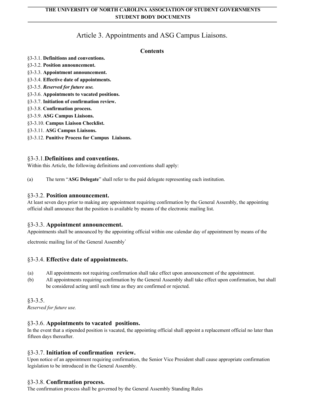# Article 3. Appointments and ASG Campus Liaisons.

## **Contents**

- §3-3.1. **Definitions and conventions.**
- §3-3.2. **Position announcement.**
- §3-3.3. **Appointment announcement.**
- §3-3.4. **Effective date of appointments.**
- §3-3.5. *Reserved for future use.*
- §3-3.6. **Appointments to vacated positions.**
- §3-3.7. **Initiation of confirmation review.**
- §3-3.8. **Confirmation process.**
- §3-3.9. **ASG Campus Liaisons.**
- §3-3.10. **Campus Liaison Checklist.**
- §3-3.11. **ASG Campus Liaisons.**
- §3-3.12. **Punitive Process for Campus Liaisons.**

# §3-3.1.**Definitions and conventions.**

Within this Article, the following definitions and conventions shall apply:

(a) The term "**ASG Delegate**" shall refer to the paid delegate representing each institution.

# §3-3.2. **Position announcement.**

At least seven days prior to making any appointment requiring confirmation by the General Assembly, the appointing official shall announce that the position is available by means of the electronic mailing list.

# §3-3.3. **Appointment announcement.**

Appointments shall be announced by the appointing official within one calendar day of appointment by means of the

electronic mailing list of the General Assembly.

# §3-3.4. **Effective date of appointments.**

- (a) All appointments not requiring confirmation shall take effect upon announcement of the appointment.
- (b) All appointments requiring confirmation by the General Assembly shall take effect upon confirmation, but shall be considered acting until such time as they are confirmed or rejected.

§3-3.5. *Reserved for future use.* 

# §3-3.6. **Appointments to vacated positions.**

In the event that a stipended position is vacated, the appointing official shall appoint a replacement official no later than fifteen days thereafter.

# §3-3.7. **Initiation of confirmation review.**

Upon notice of an appointment requiring confirmation, the Senior Vice President shall cause appropriate confirmation legislation to be introduced in the General Assembly.

# §3-3.8. **Confirmation process.**

The confirmation process shall be governed by the General Assembly Standing Rules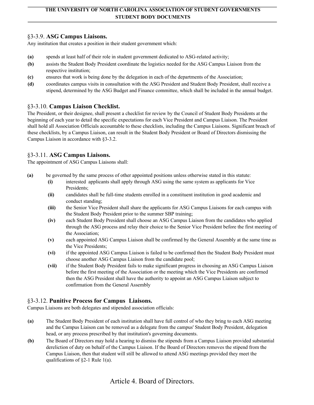# §3-3.9. **ASG Campus Liaisons.**

Any institution that creates a position in their student government which:

- **(a)** spends at least half of their role in student government dedicated to ASG-related activity;
- **(b)** assists the Student Body President coordinate the logistics needed for the ASG Campus Liaison from the respective institution;
- **(c)** ensures that work is being done by the delegation in each of the departments of the Association;
- **(d)** coordinates campus visits in consultation with the ASG President and Student Body President, shall receive a stipend, determined by the ASG Budget and Finance committee, which shall be included in the annual budget.

# §3-3.10. **Campus Liaison Checklist.**

The President, or their designee, shall present a checklist for review by the Council of Student Body Presidents at the beginning of each year to detail the specific expectations for each Vice President and Campus Liaison. The President shall hold all Association Officials accountable to these checklists, including the Campus Liaisons. Significant breach of these checklists, by a Campus Liaison, can result in the Student Body President or Board of Directors dismissing the Campus Liaison in accordance with §3-3.2.

# §3-3.11. **ASG Campus Liaisons.**

The appointment of ASG Campus Liaisons shall:

- **(a)** be governed by the same process of other appointed positions unless otherwise stated in this statute:
	- **(i)** interested applicants shall apply through ASG using the same system as applicants for Vice Presidents;
	- **(ii)** candidates shall be full-time students enrolled in a constituent institution in good academic and conduct standing;
	- **(iii)** the Senior Vice President shall share the applicants for ASG Campus Liaisons for each campus with the Student Body President prior to the summer SBP training;
	- **(iv)** each Student Body President shall choose an ASG Campus Liaison from the candidates who applied through the ASG process and relay their choice to the Senior Vice President before the first meeting of the Association;
	- **(v)** each appointed ASG Campus Liaison shall be confirmed by the General Assembly at the same time as the Vice Presidents;
	- **(vi)** if the appointed ASG Campus Liaison is failed to be confirmed then the Student Body President must choose another ASG Campus Liaison from the candidate pool;
	- **(vii)** if the Student Body President fails to make significant progress in choosing an ASG Campus Liaison before the first meeting of the Association or the meeting which the Vice Presidents are confirmed then the ASG President shall have the authority to appoint an ASG Campus Liaison subject to confirmation from the General Assembly

# §3-3.12. **Punitive Process for Campus Liaisons.**

Campus Liaisons are both delegates and stipended association officials:

- **(a)** The Student Body President of each institution shall have full control of who they bring to each ASG meeting and the Campus Liaison can be removed as a delegate from the campus' Student Body President, delegation head, or any process prescribed by that institution's governing documents.
- **(b)** The Board of Directors may hold a hearing to dismiss the stipends from a Campus Liaison provided substantial dereliction of duty on behalf of the Campus Liaison. If the Board of Directors removes the stipend from the Campus Liaison, then that student will still be allowed to attend ASG meetings provided they meet the qualifications of §2-1 Rule 1(a).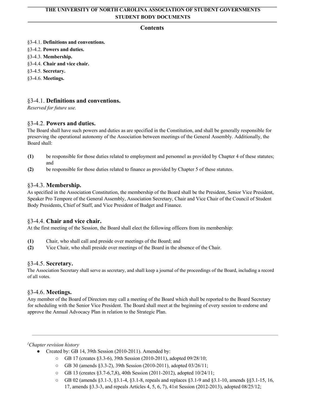#### **Contents**

- §3-4.1. **Definitions and conventions.**
- §3-4.2. **Powers and duties.**
- §3-4.3. **Membership.**
- §3-4.4. **Chair and vice chair.**
- §3-4.5. **Secretary.**
- §3-4.6. **Meetings.**

## §3-4.1. **Definitions and conventions.**

*Reserved for future use.* 

# §3-4.2. **Powers and duties.**

The Board shall have such powers and duties as are specified in the Constitution, and shall be generally responsible for preserving the operational autonomy of the Association between meetings of the General Assembly. Additionally, the Board shall:

- **(1)** be responsible for those duties related to employment and personnel as provided by Chapter 4 of these statutes; and
- **(2)** be responsible for those duties related to finance as provided by Chapter 5 of these statutes.

# §3-4.3. **Membership.**

As specified in the Association Constitution, the membership of the Board shall be the President, Senior Vice President, Speaker Pro Tempore of the General Assembly, Association Secretary, Chair and Vice Chair of the Council of Student Body Presidents, Chief of Staff, and Vice President of Budget and Finance.

# §3-4.4. **Chair and vice chair.**

At the first meeting of the Session, the Board shall elect the following officers from its membership:

- **(1)** Chair, who shall call and preside over meetings of the Board; and
- **(2)** Vice Chair, who shall preside over meetings of the Board in the absence of the Chair.

#### §3-4.5. **Secretary.**

The Association Secretary shall serve as secretary, and shall keep a journal of the proceedings of the Board, including a record of all votes.

# §3-4.6. **Meetings.**

Any member of the Board of Directors may call a meeting of the Board which shall be reported to the Board Secretary for scheduling with the Senior Vice President. The Board shall meet at the beginning of every session to endorse and approve the Annual Advocacy Plan in relation to the Strategic Plan.

*1 Chapter revision history*

- Created by: GB 14, 39th Session (2010-2011). Amended by:
	- GB 17 (creates §3.3-6), 39th Session (2010-2011), adopted 09/28/10;
	- GB 30 (amends §3.3-2), 39th Session (2010-2011), adopted 03/26/11;
	- GB 13 (creates §3.7-6,7,8), 40th Session (2011-2012), adopted 10/24/11;
	- $\circ$  GB 02 (amends §3.1-3, §3.1-4, §3.1-8, repeals and replaces §3.1-9 and §3.1-10, amends §§3.1-15, 16, 17, amends §3.3-3, and repeals Articles 4, 5, 6, 7), 41st Session (2012-2013), adopted 08/25/12;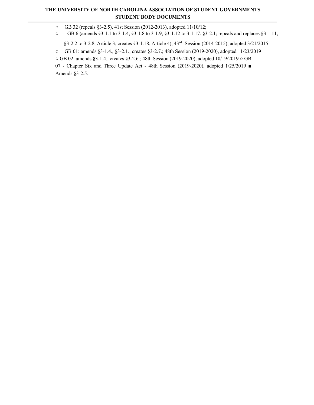- GB 32 (repeals §3-2.5), 41st Session (2012-2013), adopted 11/10/12;
- GB 6 (amends §3-1.1 to 3-1.4, §3-1.8 to 3-1.9, §3-1.12 to 3-1.17. §3-2.1; repeals and replaces §3-1.11, §3-2.2 to 3-2.8, Article 3; creates §3-1.18, Article 4), 43rd Session (2014-2015), adopted 3/21/2015

○ GB 01: amends §3-1.4., §3-2.1.; creates §3-2.7.; 48th Session (2019-2020), adopted 11/23/2019 ○ GB 02: amends §3-1.4.; creates §3-2.6.; 48th Session (2019-2020), adopted 10/19/2019 ○ GB

07 - Chapter Six and Three Update Act - 48th Session (2019-2020), adopted 1/25/2019 ■ Amends §3-2.5.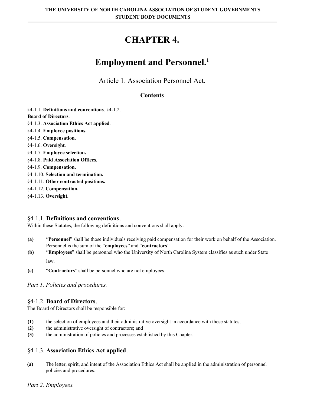# **CHAPTER 4.**

# **Employment and Personnel.1**

Article 1. Association Personnel Act.

# **Contents**

§4-1.1. **Definitions and conventions**. §4-1.2. **Board of Directors**. §4-1.3. **Association Ethics Act applied**. §4-1.4. **Employee positions.**  §4-1.5. **Compensation.**  §4-1.6. **Oversight**. §4-1.7. **Employee selection.**  §4-1.8. **Paid Association Offices.**  §4-1.9. **Compensation.**  §4-1.10. **Selection and termination.**  §4-1.11. **Other contracted positions.**  §4-1.12. **Compensation.**  §4-1.13. **Oversight.** 

# §4-1.1. **Definitions and conventions**.

Within these Statutes, the following definitions and conventions shall apply:

- **(a)** "**Personnel**" shall be those individuals receiving paid compensation for their work on behalf of the Association. Personnel is the sum of the "**employees**" and "**contractors**".
- **(b)** "**Employees**" shall be personnel who the University of North Carolina System classifies as such under State law.
- **(c)** "**Contractors**" shall be personnel who are not employees.

*Part 1. Policies and procedures.* 

# §4-1.2. **Board of Directors**.

The Board of Directors shall be responsible for:

- **(1)** the selection of employees and their administrative oversight in accordance with these statutes;
- **(2)** the administrative oversight of contractors; and
- **(3)** the administration of policies and processes established by this Chapter.

# §4-1.3. **Association Ethics Act applied**.

**(a)** The letter, spirit, and intent of the Association Ethics Act shall be applied in the administration of personnel policies and procedures.

*Part 2. Employees.*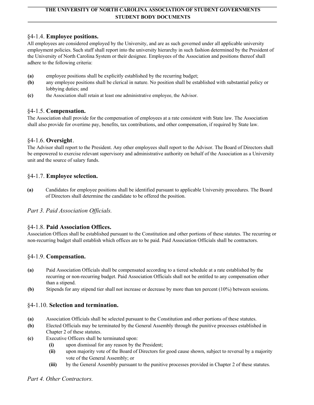# §4-1.4. **Employee positions.**

All employees are considered employed by the University, and are as such governed under all applicable university employment policies. Such staff shall report into the university hierarchy in such fashion determined by the President of the University of North Carolina System or their designee. Employees of the Association and positions thereof shall adhere to the following criteria:

- **(a)** employee positions shall be explicitly established by the recurring budget;
- **(b)** any employee positions shall be clerical in nature. No position shall be established with substantial policy or lobbying duties; and
- **(c)** the Association shall retain at least one administrative employee, the Advisor.

# §4-1.5. **Compensation.**

The Association shall provide for the compensation of employees at a rate consistent with State law. The Association shall also provide for overtime pay, benefits, tax contributions, and other compensation, if required by State law.

# §4-1.6. **Oversight**.

The Advisor shall report to the President. Any other employees shall report to the Advisor. The Board of Directors shall be empowered to exercise relevant supervisory and administrative authority on behalf of the Association as a University unit and the source of salary funds.

# §4-1.7. **Employee selection.**

**(a)** Candidates for employee positions shall be identified pursuant to applicable University procedures. The Board of Directors shall determine the candidate to be offered the position.

# *Part 3. Paid Association Officials.*

# §4-1.8. **Paid Association Offices.**

Association Offices shall be established pursuant to the Constitution and other portions of these statutes. The recurring or non-recurring budget shall establish which offices are to be paid. Paid Association Officials shall be contractors.

# §4-1.9. **Compensation.**

- **(a)** Paid Association Officials shall be compensated according to a tiered schedule at a rate established by the recurring or non-recurring budget. Paid Association Officials shall not be entitled to any compensation other than a stipend.
- **(b)** Stipends for any stipend tier shall not increase or decrease by more than ten percent (10%) between sessions.

# §4-1.10. **Selection and termination.**

- **(a)** Association Officials shall be selected pursuant to the Constitution and other portions of these statutes.
- **(b)** Elected Officials may be terminated by the General Assembly through the punitive processes established in Chapter 2 of these statutes.
- **(c)** Executive Officers shall be terminated upon:
	- **(i)** upon dismissal for any reason by the President;
	- **(ii)** upon majority vote of the Board of Directors for good cause shown, subject to reversal by a majority vote of the General Assembly; or
	- **(iii)** by the General Assembly pursuant to the punitive processes provided in Chapter 2 of these statutes.

# *Part 4. Other Contractors.*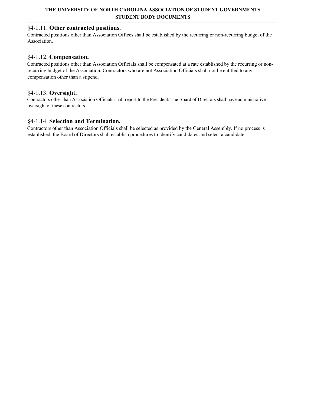## §4-1.11. **Other contracted positions.**

Contracted positions other than Association Offices shall be established by the recurring or non-recurring budget of the Association.

## §4-1.12. **Compensation.**

Contracted positions other than Association Officials shall be compensated at a rate established by the recurring or nonrecurring budget of the Association. Contractors who are not Association Officials shall not be entitled to any compensation other than a stipend.

## §4-1.13. **Oversight.**

Contractors other than Association Officials shall report to the President. The Board of Directors shall have administrative oversight of these contractors.

### §4-1.14. **Selection and Termination.**

Contractors other than Association Officials shall be selected as provided by the General Assembly. If no process is established, the Board of Directors shall establish procedures to identify candidates and select a candidate.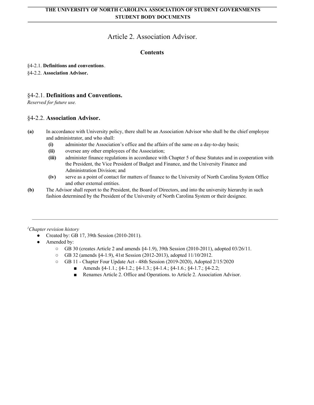# Article 2. Association Advisor.

#### **Contents**

#### §4-2.1. **Definitions and conventions**.

§4-2.2. **Association Advisor.**

# §4-2.1. **Definitions and Conventions.**

*Reserved for future use.* 

### §4-2.2. **Association Advisor.**

- **(a)** In accordance with University policy, there shall be an Association Advisor who shall be the chief employee and administrator, and who shall:
	- **(i)** administer the Association's office and the affairs of the same on a day-to-day basis;
	- **(ii)** oversee any other employees of the Association;
	- **(iii)** administer finance regulations in accordance with Chapter 5 of these Statutes and in cooperation with the President, the Vice President of Budget and Finance, and the University Finance and Administration Division; and
	- **(iv)** serve as a point of contact for matters of finance to the University of North Carolina System Office and other external entities.
- **(b)** The Advisor shall report to the President, the Board of Directors, and into the university hierarchy in such fashion determined by the President of the University of North Carolina System or their designee.

*1 Chapter revision history*

- Created by: GB 17, 39th Session (2010-2011).
- Amended by:
	- GB 30 (creates Article 2 and amends §4-1.9), 39th Session (2010-2011), adopted 03/26/11.
	- GB 32 (amends §4-1.9), 41st Session (2012-2013), adopted 11/10/2012.
	- GB 11 Chapter Four Update Act 48th Session (2019-2020), Adopted 2/15/2020
		- Amends §4-1.1.; §4-1.2.; §4-1.3.; §4-1.4.; §4-1.6.; §4-1.7.; §4-2.2;
			- Renames Article 2. Office and Operations. to Article 2. Association Advisor.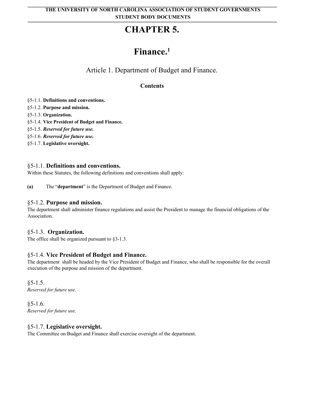# **CHAPTER 5.**

# **Finance.1**

Article 1. Department of Budget and Finance.

# **Contents**

- §5-1.1. **Definitions and conventions.**
- §5-1.2. **Purpose and mission.**
- §5-1.3. **Organization.**
- §5-1.4. **Vice President of Budget and Finance.**
- §5-1.5. *Reserved for future use.*
- §5-1.6. *Reserved for future use.*
- §5-1.7. **Legislative oversight.**

# §5-1.1. **Definitions and conventions.**

Within these Statutes, the following definitions and conventions shall apply:

**(a)** The "**department**" is the Department of Budget and Finance.

# §5-1.2. **Purpose and mission.**

The department shall administer finance regulations and assist the President to manage the financial obligations of the Association.

# §5-1.3. **Organization.**

The office shall be organized pursuant to §3-1.3.

# §5-1.4. **Vice President of Budget and Finance.**

The department shall be headed by the Vice President of Budget and Finance, who shall be responsible for the overall execution of the purpose and mission of the department.

§5-1.5. *Reserved for future use.* 

 $§5-1.6.$ *Reserved for future use.* 

# §5-1.7. **Legislative oversight.**

The Committee on Budget and Finance shall exercise oversight of the department.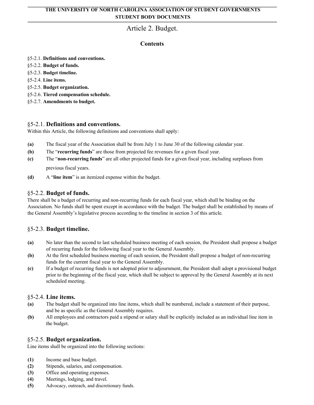# Article 2. Budget.

# **Contents**

- §5-2.1. **Definitions and conventions.**
- §5-2.2. **Budget of funds.**
- §5-2.3. **Budget timeline.**
- §5-2.4. **Line items.**
- §5-2.5. **Budget organization.**
- §5-2.6. **Tiered compensation schedule.**
- §5-2.7. **Amendments to budget.**

### §5-2.1. **Definitions and conventions.**

Within this Article, the following definitions and conventions shall apply:

- **(a)** The fiscal year of the Association shall be from July 1 to June 30 of the following calendar year.
- **(b)** The "**recurring funds**" are those from projected fee revenues for a given fiscal year.
- **(c)** The "**non-recurring funds**" are all other projected funds for a given fiscal year, including surpluses from previous fiscal years.
- **(d)** A "**line item**" is an itemized expense within the budget.

### §5-2.2. **Budget of funds.**

There shall be a budget of recurring and non-recurring funds for each fiscal year, which shall be binding on the Association. No funds shall be spent except in accordance with the budget. The budget shall be established by means of the General Assembly's legislative process according to the timeline in section 3 of this article.

# §5-2.3. **Budget timeline.**

- **(a)** No later than the second to last scheduled business meeting of each session, the President shall propose a budget of recurring funds for the following fiscal year to the General Assembly.
- **(b)** At the first scheduled business meeting of each session, the President shall propose a budget of non-recurring funds for the current fiscal year to the General Assembly.
- **(c)** If a budget of recurring funds is not adopted prior to adjournment, the President shall adopt a provisional budget prior to the beginning of the fiscal year, which shall be subject to approval by the General Assembly at its next scheduled meeting.

#### §5-2.4. **Line items.**

- **(a)** The budget shall be organized into line items, which shall be numbered, include a statement of their purpose, and be as specific as the General Assembly requires.
- **(b)** All employees and contractors paid a stipend or salary shall be explicitly included as an individual line item in the budget.

# §5-2.5. **Budget organization.**

Line items shall be organized into the following sections:

- **(1)** Income and base budget.
- **(2)** Stipends, salaries, and compensation.
- **(3)** Office and operating expenses.
- **(4)** Meetings, lodging, and travel.
- **(5)** Advocacy, outreach, and discretionary funds.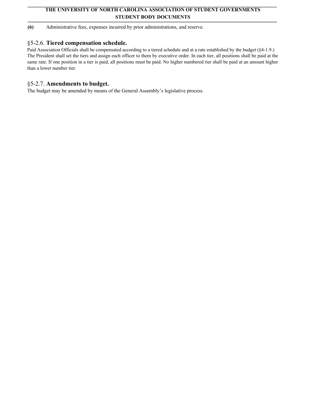**(6)** Administrative fees, expenses incurred by prior administrations, and reserve.

#### §5-2.6. **Tiered compensation schedule.**

Paid Association Officials shall be compensated according to a tiered schedule and at a rate established by the budget (§4-1.9.) The President shall set the tiers and assign each officer to them by executive order. In each tier, all positions shall be paid at the same rate. If one position in a tier is paid, all positions must be paid. No higher numbered tier shall be paid at an amount higher than a lower number tier.

# §5-2.7. **Amendments to budget.**

The budget may be amended by means of the General Assembly's legislative process.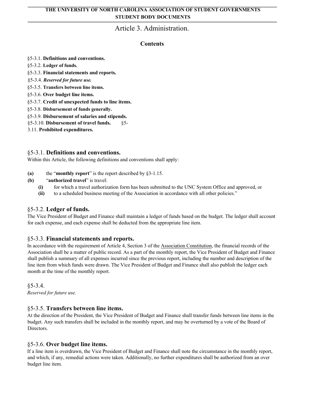# Article 3. Administration.

# **Contents**

#### §5-3.1. **Definitions and conventions.**

- §5-3.2. **Ledger of funds.**
- §5-3.3. **Financial statements and reports.**
- §5-3.4. *Reserved for future use.*
- §5-3.5. **Transfers between line items.**
- §5-3.6. **Over budget line items.**
- §5-3.7. **Credit of unexpected funds to line items.**
- §5-3.8. **Disbursement of funds generally.**
- §5-3.9. **Disbursement of salaries and stipends.**
- §5-3.10. **Disbursement of travel funds.** §5-
- 3.11. **Prohibited expenditures.**

#### §5-3.1. **Definitions and conventions.**

Within this Article, the following definitions and conventions shall apply:

- **(a)** the "**monthly report**" is the report described by §3-1.15.
- **(b)** "**authorized travel**" is travel:
	- **(i)** for which a travel authorization form has been submitted to the UNC System Office and approved, or
	- **(ii)** to a scheduled business meeting of the Association in accordance with all other policies."

# §5-3.2. **Ledger of funds.**

The Vice President of Budget and Finance shall maintain a ledger of funds based on the budget. The ledger shall account for each expense, and each expense shall be deducted from the appropriate line item.

# §5-3.3. **Financial statements and reports.**

In accordance with the requirement of Article 4, Section 3 of the Association Constitution, the financial records of the Association shall be a matter of public record. As a part of the monthly report, the Vice President of Budget and Finance shall publish a summary of all expenses incurred since the previous report, including the number and description of the line item from which funds were drawn. The Vice President of Budget and Finance shall also publish the ledger each month at the time of the monthly report.

#### $§5 - 3.4.$

*Reserved for future use.* 

# §5-3.5. **Transfers between line items.**

At the direction of the President, the Vice President of Budget and Finance shall transfer funds between line items in the budget. Any such transfers shall be included in the monthly report, and may be overturned by a vote of the Board of Directors.

# §5-3.6. **Over budget line items.**

If a line item is overdrawn, the Vice President of Budget and Finance shall note the circumstance in the monthly report, and which, if any, remedial actions were taken. Additionally, no further expenditures shall be authorized from an over budget line item.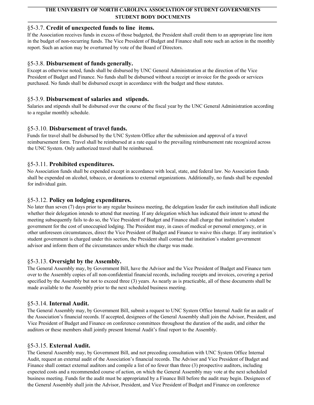# §5-3.7. **Credit of unexpected funds to line items.**

If the Association receives funds in excess of those budgeted, the President shall credit them to an appropriate line item in the budget of non-recurring funds. The Vice President of Budget and Finance shall note such an action in the monthly report. Such an action may be overturned by vote of the Board of Directors.

# §5-3.8. **Disbursement of funds generally.**

Except as otherwise noted, funds shall be disbursed by UNC General Administration at the direction of the Vice President of Budget and Finance. No funds shall be disbursed without a receipt or invoice for the goods or services purchased. No funds shall be disbursed except in accordance with the budget and these statutes.

# §5-3.9. **Disbursement of salaries and stipends.**

Salaries and stipends shall be disbursed over the course of the fiscal year by the UNC General Administration according to a regular monthly schedule.

# §5-3.10. **Disbursement of travel funds.**

Funds for travel shall be disbursed by the UNC System Office after the submission and approval of a travel reimbursement form. Travel shall be reimbursed at a rate equal to the prevailing reimbursement rate recognized across the UNC System. Only authorized travel shall be reimbursed.

# §5-3.11. **Prohibited expenditures.**

No Association funds shall be expended except in accordance with local, state, and federal law. No Association funds shall be expended on alcohol, tobacco, or donations to external organizations. Additionally, no funds shall be expended for individual gain.

# §5-3.12. **Policy on lodging expenditures.**

No later than seven (7) days prior to any regular business meeting, the delegation leader for each institution shall indicate whether their delegation intends to attend that meeting. If any delegation which has indicated their intent to attend the meeting subsequently fails to do so, the Vice President of Budget and Finance shall charge that institution's student government for the cost of unoccupied lodging. The President may, in cases of medical or personal emergency, or in other unforeseen circumstances, direct the Vice President of Budget and Finance to waive this charge. If any institution's student government is charged under this section, the President shall contact that institution's student government advisor and inform them of the circumstances under which the charge was made.

# §5-3.13. **Oversight by the Assembly.**

The General Assembly may, by Government Bill, have the Advisor and the Vice President of Budget and Finance turn over to the Assembly copies of all non-confidential financial records, including receipts and invoices, covering a period specified by the Assembly but not to exceed three (3) years. As nearly as is practicable, all of these documents shall be made available to the Assembly prior to the next scheduled business meeting.

# §5-3.14. **Internal Audit.**

The General Assembly may, by Government Bill, submit a request to UNC System Office Internal Audit for an audit of the Association's financial records. If accepted, designees of the General Assembly shall join the Advisor, President, and Vice President of Budget and Finance on conference committees throughout the duration of the audit, and either the auditors or these members shall jointly present Internal Audit's final report to the Assembly.

# §5-3.15. **External Audit.**

The General Assembly may, by Government Bill, and not preceding consultation with UNC System Office Internal Audit, request an external audit of the Association's financial records. The Advisor and Vice President of Budget and Finance shall contact external auditors and compile a list of no fewer than three (3) prospective auditors, including expected costs and a recommended course of action, on which the General Assembly may vote at the next scheduled business meeting. Funds for the audit must be appropriated by a Finance Bill before the audit may begin. Designees of the General Assembly shall join the Advisor, President, and Vice President of Budget and Finance on conference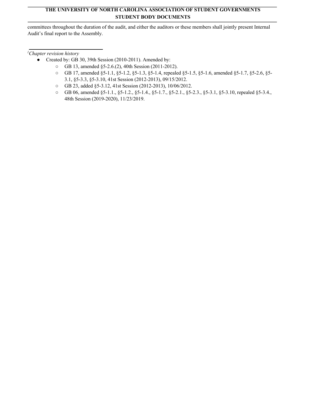committees throughout the duration of the audit, and either the auditors or these members shall jointly present Internal Audit's final report to the Assembly.

*1 Chapter revision history*

- Created by: GB 30, 39th Session (2010-2011). Amended by:
	- GB 13, amended §5-2.6.(2), 40th Session (2011-2012).
	- GB 17, amended §5-1.1, §5-1.2, §5-1.3, §5-1.4, repealed §5-1.5, §5-1.6, amended §5-1.7, §5-2.6, §5- 3.1, §5-3.3, §5-3.10, 41st Session (2012-2013), 09/15/2012.
	- GB 23, added §5-3.12, 41st Session (2012-2013), 10/06/2012.
	- GB 06, amended §5-1.1., §5-1.2., §5-1.4., §5-1.7., §5-2.1., §5-2.3., §5-3.1, §5-3.10, repealed §5-3.4., 48th Session (2019-2020), 11/23/2019.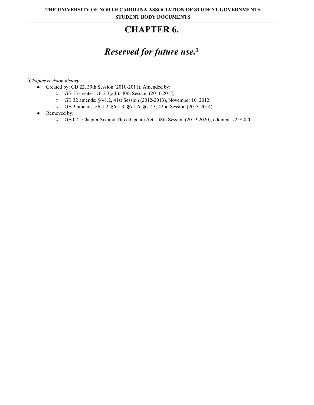# **CHAPTER 6.**

# *Reserved for future use.***<sup>1</sup>**

*1 Chapter revision history*

- Created by: GB 22, 39th Session (2010-2011). Amended by:
	- GB 13 creates: §6-2.3(a,b), 40th Session (2011-2012).
	- GB 32 amends: §6-1.2, 41st Session (2012-2013), November 10, 2012.
	- GB 3 amends; §6-1.2, §6-1.3, §6-1.6, §6-2.3, 42nd Session (2013-2014).
- Removed by:
	- GB 07 Chapter Six and Three Update Act 48th Session (2019-2020), adopted 1/25/2020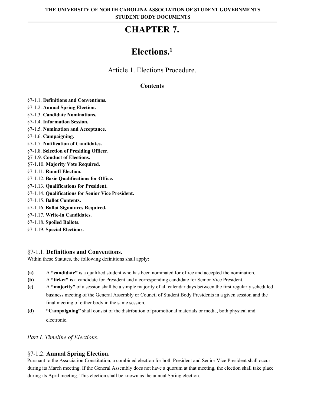# **CHAPTER 7.**

# **Elections.1**

Article 1. Elections Procedure.

# **Contents**

- §7-1.1. **Definitions and Conventions.**
- §7-1.2. **Annual Spring Election.**
- §7-1.3. **Candidate Nominations.**
- §7-1.4. **Information Session.**
- §7-1.5. **Nomination and Acceptance.**
- §7-1.6. **Campaigning.**
- §7-1.7. **Notification of Candidates.**
- §7-1.8. **Selection of Presiding Officer.**
- §7-1.9. **Conduct of Elections.**
- §7-1.10. **Majority Vote Required.**
- §7-1.11. **Runoff Election.**
- §7-1.12. **Basic Qualifications for Office.**
- §7-1.13. **Qualifications for President.**
- §7-1.14. **Qualifications for Senior Vice President.**
- §7-1.15. **Ballot Contents.**
- §7-1.16. **Ballot Signatures Required.**
- §7-1.17. **Write-in Candidates.**
- §7-1.18. **Spoiled Ballots.**
- §7-1.19. **Special Elections.**

# §7-1.1. **Definitions and Conventions.**

Within these Statutes, the following definitions shall apply:

- **(a)** A **"candidate"** is a qualified student who has been nominated for office and accepted the nomination.
- **(b)** A **"ticket"** is a candidate for President and a corresponding candidate for Senior Vice President.
- **(c)** A **"majority"** of a session shall be a simple majority of all calendar days between the first regularly scheduled business meeting of the General Assembly or Council of Student Body Presidents in a given session and the final meeting of either body in the same session.
- **(d) "Campaigning"** shall consist of the distribution of promotional materials or media, both physical and electronic.

# *Part I. Timeline of Elections.*

# §7-1.2. **Annual Spring Election.**

Pursuant to the Association Constitution, a combined election for both President and Senior Vice President shall occur during its March meeting. If the General Assembly does not have a quorum at that meeting, the election shall take place during its April meeting. This election shall be known as the annual Spring election.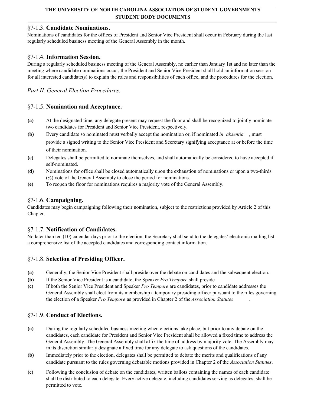# §7-1.3. **Candidate Nominations.**

Nominations of candidates for the offices of President and Senior Vice President shall occur in February during the last regularly scheduled business meeting of the General Assembly in the month.

# §7-1.4. **Information Session.**

During a regularly scheduled business meeting of the General Assembly, no earlier than January 1st and no later than the meeting where candidate nominations occur, the President and Senior Vice President shall hold an information session for all interested candidate(s) to explain the roles and responsibilities of each office, and the procedures for the election.

*Part II. General Election Procedures.* 

# §7-1.5. **Nomination and Acceptance.**

- **(a)** At the designated time, any delegate present may request the floor and shall be recognized to jointly nominate two candidates for President and Senior Vice President, respectively.
- **(b)** Every candidate so nominated must verbally accept the nomination or, if nominated *in absentia* , must provide a signed writing to the Senior Vice President and Secretary signifying acceptance at or before the time of their nomination.
- **(c)** Delegates shall be permitted to nominate themselves, and shall automatically be considered to have accepted if self-nominated.
- **(d)** Nominations for office shall be closed automatically upon the exhaustion of nominations or upon a two-thirds (⅔) vote of the General Assembly to close the period for nominations.
- **(e)** To reopen the floor for nominations requires a majority vote of the General Assembly.

# §7-1.6. **Campaigning.**

Candidates may begin campaigning following their nomination, subject to the restrictions provided by Article 2 of this Chapter.

# §7-1.7. **Notification of Candidates.**

No later than ten (10) calendar days prior to the election, the Secretary shall send to the delegates' electronic mailing list a comprehensive list of the accepted candidates and corresponding contact information.

# §7-1.8. **Selection of Presiding Officer.**

- **(a)** Generally, the Senior Vice President shall preside over the debate on candidates and the subsequent election.
- **(b)** If the Senior Vice President is a candidate, the Speaker *Pro Tempore* shall preside
- **(c)** If both the Senior Vice President and Speaker *Pro Tempore* are candidates, prior to candidate addresses the General Assembly shall elect from its membership a temporary presiding officer pursuant to the rules governing the election of a Speaker *Pro Tempore* as provided in Chapter 2 of the *Association Statutes* .

# §7-1.9. **Conduct of Elections.**

- **(a)** During the regularly scheduled business meeting when elections take place, but prior to any debate on the candidates, each candidate for President and Senior Vice President shall be allowed a fixed time to address the General Assembly. The General Assembly shall affix the time of address by majority vote. The Assembly may in its discretion similarly designate a fixed time for any delegate to ask questions of the candidates.
- **(b)** Immediately prior to the election, delegates shall be permitted to debate the merits and qualifications of any candidate pursuant to the rules governing debatable motions provided in Chapter 2 of the *Association Statutes*.
- **(c)** Following the conclusion of debate on the candidates, written ballots containing the names of each candidate shall be distributed to each delegate. Every active delegate, including candidates serving as delegates, shall be permitted to vote.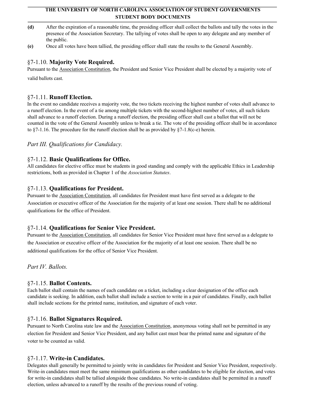- **(d)** After the expiration of a reasonable time, the presiding officer shall collect the ballots and tally the votes in the presence of the Association Secretary. The tallying of votes shall be open to any delegate and any member of the public.
- **(e)** Once all votes have been tallied, the presiding officer shall state the results to the General Assembly.

# §7-1.10. **Majority Vote Required.**

Pursuant to the Association Constitution, the President and Senior Vice President shall be elected by a majority vote of valid ballots cast.

# §7-1.11. **Runoff Election.**

In the event no candidate receives a majority vote, the two tickets receiving the highest number of votes shall advance to a runoff election. In the event of a tie among multiple tickets with the second-highest number of votes, all such tickets shall advance to a runoff election. During a runoff election, the presiding officer shall cast a ballot that will not be counted in the vote of the General Assembly unless to break a tie. The vote of the presiding officer shall be in accordance to  $\S7-1.16$ . The procedure for the runoff election shall be as provided by  $\S7-1.8$ (c-e) herein.

# *Part III. Qualifications for Candidacy.*

# §7-1.12. **Basic Qualifications for Office.**

All candidates for elective office must be students in good standing and comply with the applicable Ethics in Leadership restrictions, both as provided in Chapter 1 of the *Association Statutes*.

# §7-1.13. **Qualifications for President.**

Pursuant to the Association Constitution, all candidates for President must have first served as a delegate to the Association or executive officer of the Association for the majority of at least one session. There shall be no additional qualifications for the office of President.

# §7-1.14. **Qualifications for Senior Vice President.**

Pursuant to the Association Constitution, all candidates for Senior Vice President must have first served as a delegate to the Association or executive officer of the Association for the majority of at least one session. There shall be no additional qualifications for the office of Senior Vice President.

*Part IV. Ballots.* 

# §7-1.15. **Ballot Contents.**

Each ballot shall contain the names of each candidate on a ticket, including a clear designation of the office each candidate is seeking. In addition, each ballot shall include a section to write in a pair of candidates. Finally, each ballot shall include sections for the printed name, institution, and signature of each voter.

#### §7-1.16. **Ballot Signatures Required.**

Pursuant to North Carolina state law and the Association Constitution, anonymous voting shall not be permitted in any election for President and Senior Vice President, and any ballot cast must bear the printed name and signature of the voter to be counted as valid.

# §7-1.17. **Write-in Candidates.**

Delegates shall generally be permitted to jointly write in candidates for President and Senior Vice President, respectively. Write-in candidates must meet the same minimum qualifications as other candidates to be eligible for election, and votes for write-in candidates shall be tallied alongside those candidates. No write-in candidates shall be permitted in a runoff election, unless advanced to a runoff by the results of the previous round of voting.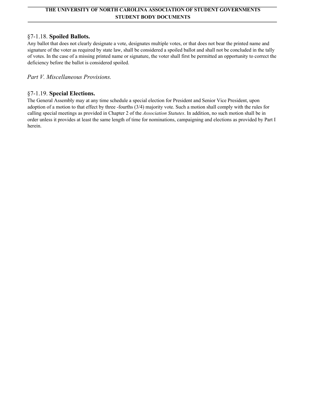# §7-1.18. **Spoiled Ballots.**

Any ballot that does not clearly designate a vote, designates multiple votes, or that does not bear the printed name and signature of the voter as required by state law, shall be considered a spoiled ballot and shall not be concluded in the tally of votes. In the case of a missing printed name or signature, the voter shall first be permitted an opportunity to correct the deficiency before the ballot is considered spoiled.

*Part V. Miscellaneous Provisions.* 

# §7-1.19. **Special Elections.**

The General Assembly may at any time schedule a special election for President and Senior Vice President, upon adoption of a motion to that effect by three -fourths (3/4) majority vote. Such a motion shall comply with the rules for calling special meetings as provided in Chapter 2 of the *Association Statutes*. In addition, no such motion shall be in order unless it provides at least the same length of time for nominations, campaigning and elections as provided by Part I herein.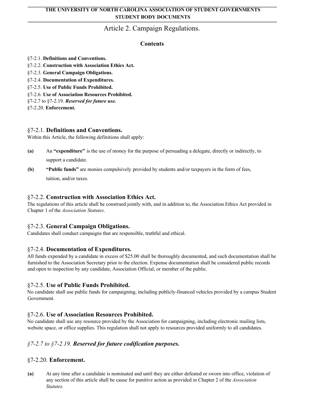#### **THE UNIVERSITY OF NORTH CAROLINA ASSOCIATION OF STUDENT GOVERNMENTS STUDENT BODY DOCUMENTS**

# Article 2. Campaign Regulations.

### **Contents**

- §7-2.1. **Definitions and Conventions.**
- §7-2.2. **Construction with Association Ethics Act.**
- §7-2.3. **General Campaign Obligations.**
- §7-2.4. **Documentation of Expenditures.**
- §7-2.5. **Use of Public Funds Prohibited.**
- §7-2.6. **Use of Association Resources Prohibited.**
- §7-2.7 to §7-2.19. *Reserved for future use.*
- §7-2.20. **Enforcement.**

### §7-2.1. **Definitions and Conventions.**

Within this Article, the following definitions shall apply:

- **(a)** An **"expenditure"** is the use of money for the purpose of persuading a delegate, directly or indirectly, to support a candidate.
- **(b) "Public funds"** are monies compulsively provided by students and/or taxpayers in the form of fees, tuition, and/or taxes.

### §7-2.2. **Construction with Association Ethics Act.**

The regulations of this article shall be construed jointly with, and in addition to, the Association Ethics Act provided in Chapter 1 of the *Association Statutes*.

# §7-2.3. **General Campaign Obligations.**

Candidates shall conduct campaigns that are responsible, truthful and ethical.

#### §7-2.4. **Documentation of Expenditures.**

All funds expended by a candidate in excess of \$25.00 shall be thoroughly documented, and such documentation shall be furnished to the Association Secretary prior to the election. Expense documentation shall be considered public records and open to inspection by any candidate, Association Official, or member of the public.

#### §7-2.5. **Use of Public Funds Prohibited.**

No candidate shall use public funds for campaigning, including publicly-financed vehicles provided by a campus Student Government.

#### §7-2.6. **Use of Association Resources Prohibited.**

No candidate shall use any resource provided by the Association for campaigning, including electronic mailing lists, website space, or office supplies. This regulation shall not apply to resources provided uniformly to all candidates.

# *§7-2.7 to §7-2.19. Reserved for future codification purposes.*

# §7-2.20. **Enforcement.**

**(a)** At any time after a candidate is nominated and until they are either defeated or sworn into office, violation of any section of this article shall be cause for punitive action as provided in Chapter 2 of the *Association Statutes.*